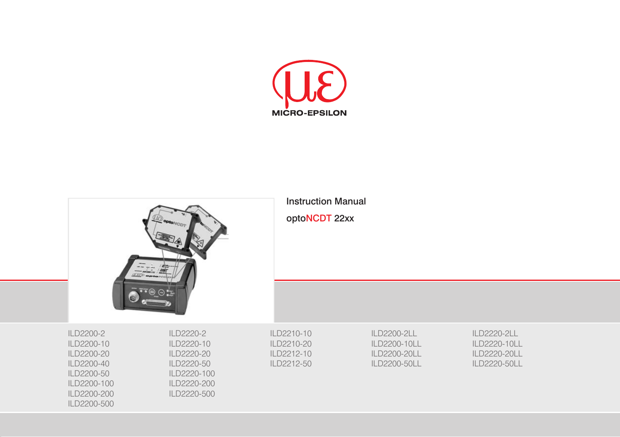

|                                                                                                                | optolleny<br><b>LIO</b> optovida                                                                 | <b>Instruction Manual</b><br>optoNCDT 22xx           |                                                             |                                                             |
|----------------------------------------------------------------------------------------------------------------|--------------------------------------------------------------------------------------------------|------------------------------------------------------|-------------------------------------------------------------|-------------------------------------------------------------|
|                                                                                                                |                                                                                                  |                                                      |                                                             |                                                             |
| ILD2200-2<br>ILD2200-10<br>ILD2200-20<br>ILD2200-40<br>ILD2200-50<br>ILD2200-100<br>ILD2200-200<br>ILD2200-500 | ILD2220-2<br>ILD2220-10<br>ILD2220-20<br>ILD2220-50<br>ILD2220-100<br>ILD2220-200<br>ILD2220-500 | ILD2210-10<br>ILD2210-20<br>ILD2212-10<br>ILD2212-50 | ILD2200-2LL<br>ILD2200-10LL<br>ILD2200-20LL<br>ILD2200-50LL | ILD2220-2LL<br>ILD2220-10LL<br>ILD2220-20LL<br>ILD2220-50LL |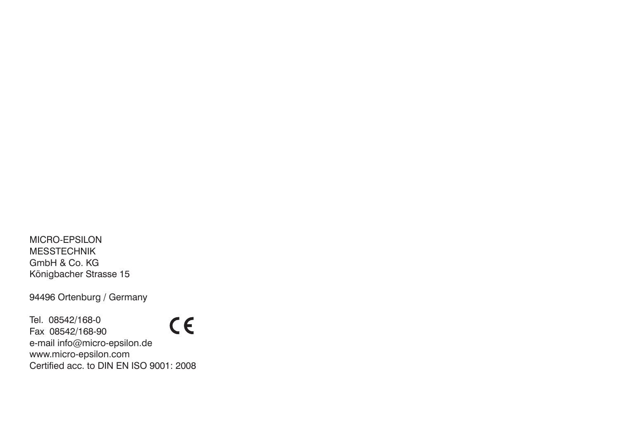MICRO-EPSILON MESSTECHNIK GmbH & Co. KG Königbacher Strasse 15

94496 Ortenburg / Germany

Tel. 08542/168-0  $C \in$ Fax 08542/168-90 e-mail info@micro-epsilon.de www.micro-epsilon.com Certified acc. to DIN EN ISO 9001: 2008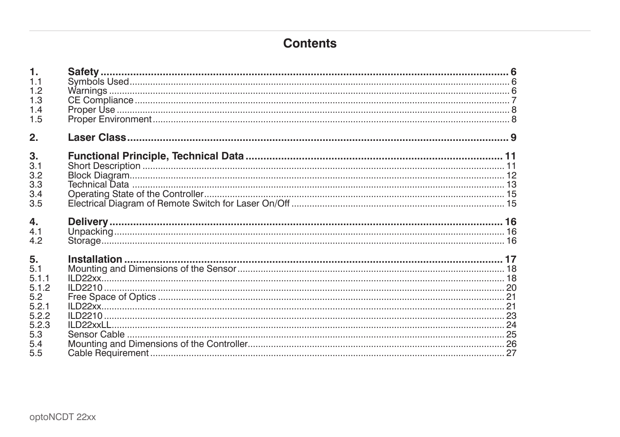# **Contents**

| $\mathbf{1}$ . |  |
|----------------|--|
| 1.1            |  |
| 1.2            |  |
| 1.3            |  |
| 1.4            |  |
| 1.5            |  |
| 2.             |  |
| 3.             |  |
| 3.1            |  |
| 3.2            |  |
| 3.3            |  |
| 3.4            |  |
| 3.5            |  |
|                |  |
|                |  |
| 4.             |  |
| 4.1            |  |
| 4.2            |  |
| 5.             |  |
| 5.1            |  |
| 5.1.1          |  |
| 5.1.2          |  |
| 5.2            |  |
| 5.2.1          |  |
| 5.2.2          |  |
| 5.2.3          |  |
| 5.3            |  |
| 5.4<br>5.5     |  |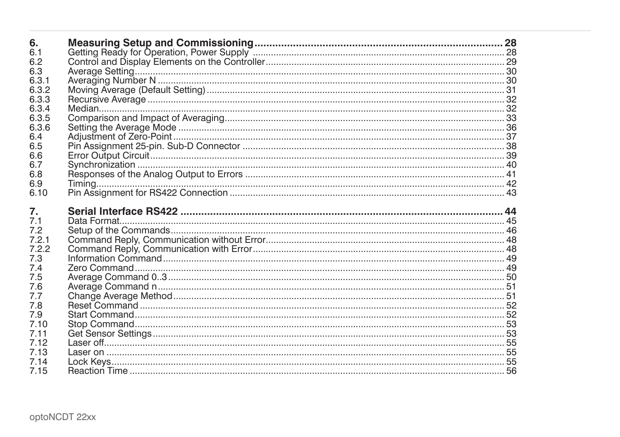| 6.           |  |
|--------------|--|
| 6.1          |  |
| 6.2          |  |
| 6.3          |  |
| 6.3.1        |  |
| 6.3.2        |  |
| 6.3.3        |  |
| 6.3.4        |  |
| 6.3.5        |  |
| 6.3.6        |  |
| 6.4          |  |
| 6.5          |  |
| 6.6          |  |
| 6.7          |  |
| 6.8          |  |
| 6.9          |  |
| 6.10         |  |
|              |  |
|              |  |
| 7.           |  |
| 7.1          |  |
| 7.2          |  |
| 7.2.1        |  |
| 7.2.2        |  |
| 7.3          |  |
| 7.4          |  |
| 7.5          |  |
| 7.6          |  |
| 7.7          |  |
| 7.8          |  |
| 7.9          |  |
| 7.10         |  |
| 7.11         |  |
| 7.12         |  |
| 7.13         |  |
| 7.14<br>7.15 |  |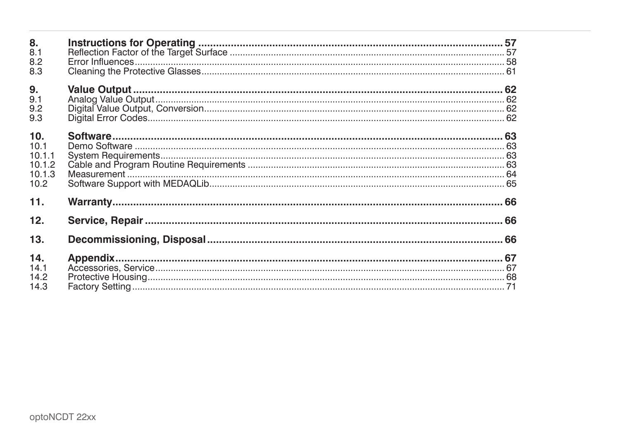| 8.<br>8.1<br>8.2<br>8.3                           |  |
|---------------------------------------------------|--|
| 9.<br>9.1<br>9.2<br>9.3                           |  |
| 10.<br>10.1<br>10.1.1<br>10.1.2<br>10.1.3<br>10.2 |  |
| 11.                                               |  |
| 12.                                               |  |
| 13.                                               |  |
| 14.<br>14.1<br>14.2<br>14.3                       |  |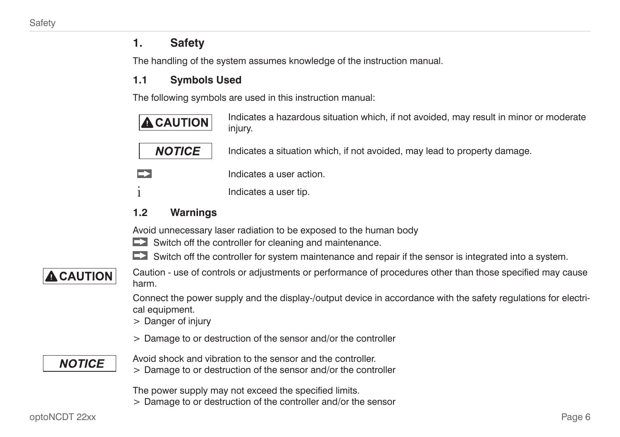# <span id="page-5-0"></span>**1. Safety**

The handling of the system assumes knowledge of the instruction manual.

# **1.1 Symbols Used**

The following symbols are used in this instruction manual:



# **1.2 Warnings**

Avoid unnecessary laser radiation to be exposed to the human body

- Switch off the controller for cleaning and maintenance.
- $\blacktriangleright$  Switch off the controller for system maintenance and repair if the sensor is integrated into a system.

# **A** CAUTION

Caution - use of controls or adjustments or performance of procedures other than those specified may cause harm.

Connect the power supply and the display-/output device in accordance with the safety regulations for electrical equipment.

- > Danger of injury
- > Damage to or destruction of the sensor and/or the controller

# **NOTICE**

- Avoid shock and vibration to the sensor and the controller.
- > Damage to or destruction of the sensor and/or the controller

The power supply may not exceed the specified limits.

> Damage to or destruction of the controller and/or the sensor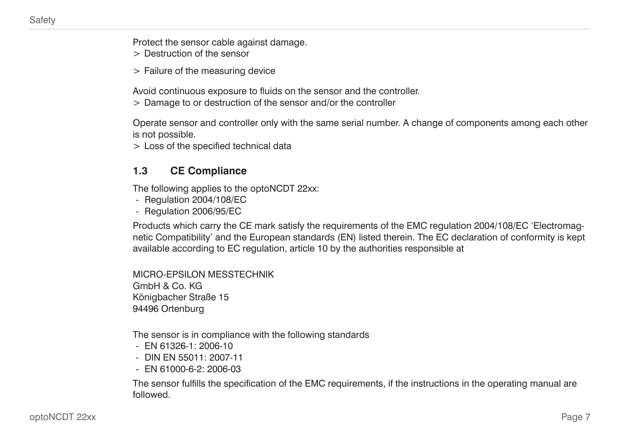<span id="page-6-0"></span>Protect the sensor cable against damage.

> Destruction of the sensor

> Failure of the measuring device

Avoid continuous exposure to fluids on the sensor and the controller.

> Damage to or destruction of the sensor and/or the controller

Operate sensor and controller only with the same serial number. A change of components among each other is not possible.

> Loss of the specified technical data

### **1.3 CE Compliance**

The following applies to the optoNCDT 22xx:

- Regulation 2004/108/EC
- Regulation 2006/95/EC

Products which carry the CE mark satisfy the requirements of the EMC regulation 2004/108/EC 'Electromagnetic Compatibility' and the European standards (EN) listed therein. The EC declaration of conformity is kept available according to EC regulation, article 10 by the authorities responsible at

MICRO-EPSILON MESSTECHNIK GmbH & Co. KG Königbacher Straße 15 94496 Ortenburg

The sensor is in compliance with the following standards

- EN 61326-1: 2006-10
- DIN EN 55011: 2007-11
- $-$  FN 61000-6-2: 2006-03

The sensor fulfills the specification of the EMC requirements, if the instructions in the operating manual are followed.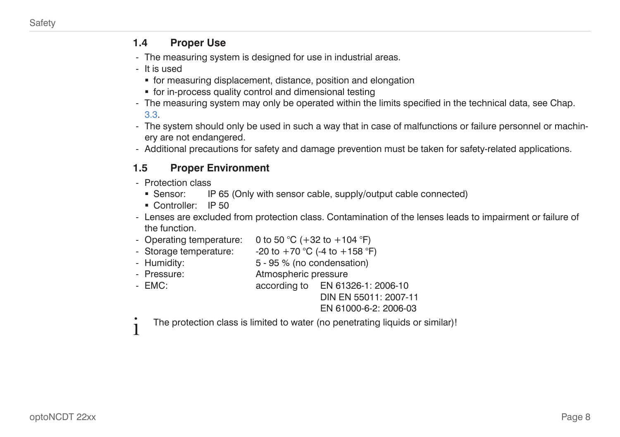#### <span id="page-7-0"></span>**1.4 Proper Use**

- The measuring system is designed for use in industrial areas.
- It is used
	- for measuring displacement, distance, position and elongation
	- for in-process quality control and dimensional testing
- The measuring system may only be operated within the limits specified in the technical data[, see Chap.](#page-12-1)  [3.3](#page-12-1).
- The system should only be used in such a way that in case of malfunctions or failure personnel or machinery are not endangered.
- Additional precautions for safety and damage prevention must be taken for safety-related applications.

# **1.5 Proper Environment**

- Protection class
	- Sensor: IP 65 (Only with sensor cable, supply/output cable connected)
	- Controller: IP 50
- Lenses are excluded from protection class. Contamination of the lenses leads to impairment or failure of the function.
- Operating temperature: 0 to 50  $^{\circ}$ C (+32 to +104  $^{\circ}$ F)
- Storage temperature:  $-20$  to  $+70$  °C (-4 to  $+158$  °F)
- Humidity: 5 95 % (no condensation)
- Pressure: Atmospheric pressure
- EMC: according to EN 61326-1: 2006-10
	- DIN EN 55011: 2007-11
	- EN 61000-6-2: 2006-03
- i The protection class is limited to water (no penetrating liquids or similar)!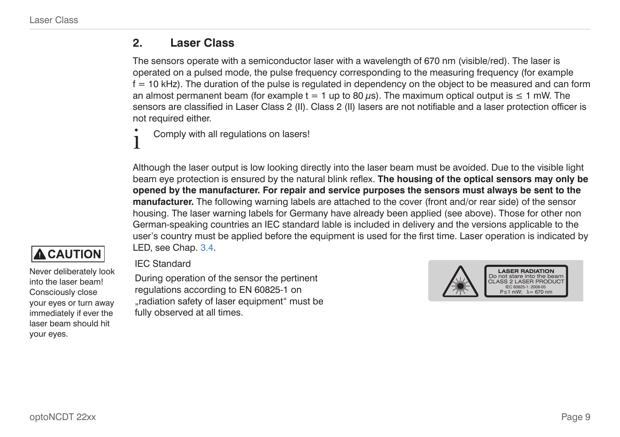# <span id="page-8-1"></span><span id="page-8-0"></span>**2. Laser Class**

The sensors operate with a semiconductor laser with a wavelength of 670 nm (visible/red). The laser is operated on a pulsed mode, the pulse frequency corresponding to the measuring frequency (for example  $f = 10$  kHz). The duration of the pulse is regulated in dependency on the object to be measured and can form an almost permanent beam (for example  $t = 1$  up to 80  $\mu s$ ). The maximum optical output is  $\leq 1$  mW. The sensors are classified in Laser Class 2 (II). Class 2 (II) lasers are not notifiable and a laser protection officer is not required either.

Comply with all regulations on lasers!

Although the laser output is low looking directly into the laser beam must be avoided. Due to the visible light beam eye protection is ensured by the natural blink reflex. **The housing of the optical sensors may only be opened by the manufacturer. For repair and service purposes the sensors must always be sent to the manufacturer.** The following warning labels are attached to the cover (front and/or rear side) of the sensor housing. The laser warning labels for Germany have already been applied (see above). Those for other non German-speaking countries an IEC standard lable is included in delivery and the versions applicable to the user's country must be applied before the equipment is used for the first time. Laser operation is indicated by LE[D, see Chap. 3.4.](#page-14-1)

# **A** CAUTION

Never deliberately look into the laser beam! Consciously close your eyes or turn away immediately if ever the laser beam should hit your eyes.

#### IEC Standard

During operation of the sensor the pertinent regulations according to EN 60825-1 on "radiation safety of laser equipment" must be fully observed at all times.

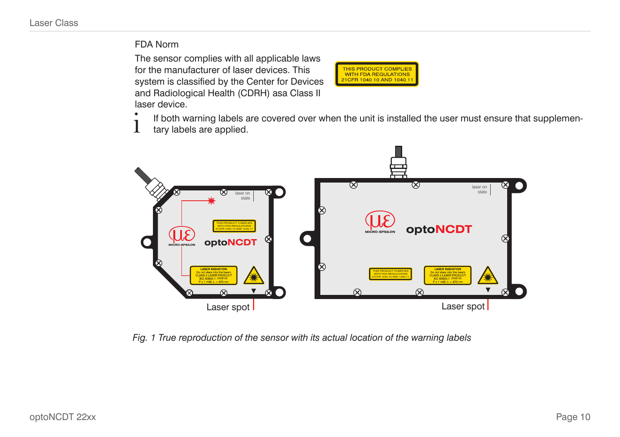#### FDA Norm

The sensor complies with all applicable laws for the manufacturer of laser devices. This system is classified by the Center for Devices and Radiological Health (CDRH) asa Class II laser device.



 $\int$  If both warning labels are covered over when the unit is installed the user must ensure that supplemen-<br>Tary labels are applied. tary labels are applied.



*Fig. 1 True reproduction of the sensor with its actual location of the warning labels*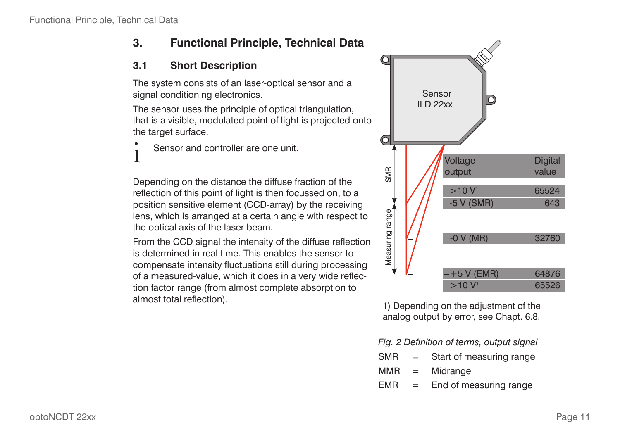# <span id="page-10-0"></span>**3. Functional Principle, Technical Data**

# **3.1 Short Description**

The system consists of an laser-optical sensor and a signal conditioning electronics.

The sensor uses the principle of optical triangulation, that is a visible, modulated point of light is projected onto the target surface.

Sensor and controller are one unit.

Depending on the distance the diffuse fraction of the reflection of this point of light is then focussed on, to a position sensitive element (CCD-array) by the receiving lens, which is arranged at a certain angle with respect to the optical axis of the laser beam.

From the CCD signal the intensity of the diffuse reflection is determined in real time. This enables the sensor to compensate intensity fluctuations still during processing of a measured-value, which it does in a very wide reflection factor range (from almost complete absorption to almost total reflection).



1) Depending on the adjustment of the analog output by error, see Chapt. 6.8.

*Fig. 2 Definition of terms, output signal*

| <b>SMR</b> | $=$ | Start of measuring range |
|------------|-----|--------------------------|
|            |     |                          |

- MMR = Midrange
- $EMR =$  End of measuring range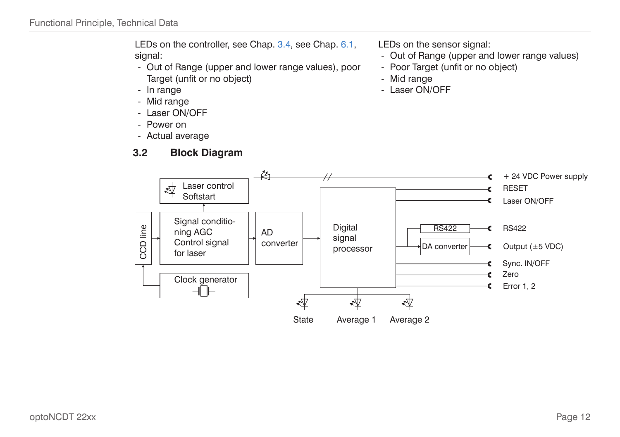<span id="page-11-0"></span>LEDs on the controlle[r, see Chap. 3.4](#page-14-1)[, see Chap. 6.1,](#page-27-1) signal:

- Out of Range (upper and lower range values), poor Target (unfit or no object)
- In range
- Mid range
- Laser ON/OFF
- Power on
- Actual average

# **3.2 Block Diagram**

LEDs on the sensor signal:

- Out of Range (upper and lower range values)
- Poor Target (unfit or no object)
- Mid range
- Laser ON/OFF

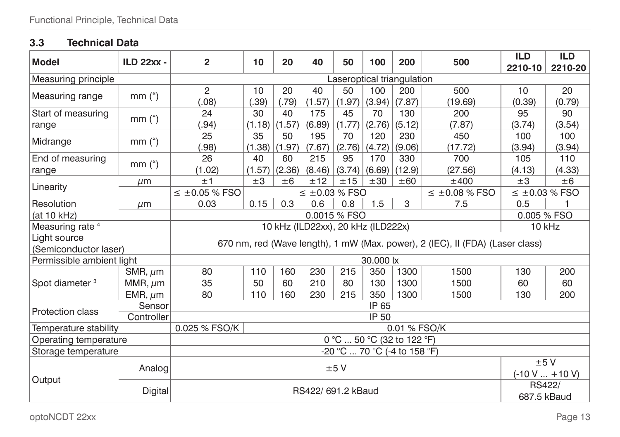# <span id="page-12-1"></span><span id="page-12-0"></span>**3.3 Technical Data**

| <b>Model</b>                | <b>ILD 22xx -</b> | $\overline{2}$                                                                | 10                         | 20     | 40                    | 50     | 100    | 200                                 | 500                | <b>ILD</b><br>2210-10 | <b>ILD</b><br>2210-20 |
|-----------------------------|-------------------|-------------------------------------------------------------------------------|----------------------------|--------|-----------------------|--------|--------|-------------------------------------|--------------------|-----------------------|-----------------------|
| Measuring principle         |                   |                                                                               | Laseroptical triangulation |        |                       |        |        |                                     |                    |                       |                       |
|                             | mm <sup>''</sup>  | 2                                                                             | 10                         | 20     | 40                    | 50     | 100    | 200                                 | 500                | 10                    | 20                    |
| Measuring range             |                   | (0.08)                                                                        | .39)                       | (.79)  | (1.57)                | (1.97) | (3.94) | (7.87)                              | (19.69)            | (0.39)                | (0.79)                |
| Start of measuring          | $mm$ (")          | 24                                                                            | 30                         | 40     | 175                   | 45     | 70     | 130                                 | 200                | 95                    | 90                    |
| range                       |                   | (.94)                                                                         | $(1.18)$ (1.57)            |        | (6.89)                | (1.77) | (2.76) | (5.12)                              | (7.87)             | (3.74)                | (3.54)                |
| Midrange                    | $mm$ (")          | 25                                                                            | 35                         | 50     | 195                   | 70     | 120    | 230                                 | 450                | 100                   | 100                   |
|                             |                   | (.98)                                                                         | (1.38)                     | (1.97) | (7.67)                | (2.76) | (4.72) | (9.06)                              | (17.72)            | (3.94)                | (3.94)                |
| End of measuring            | $mm$ (")          | 26                                                                            | 40                         | 60     | 215                   | 95     | 170    | 330                                 | 700                | 105                   | 110                   |
| range                       |                   | (1.02)                                                                        | (1.57)                     | (2.36) | (8.46)                | (3.74) | (6.69) | (12.9)                              | (27.56)            | (4.13)                | (4.33)                |
| Linearity                   | $\mu$ m           | ±1                                                                            | ±3                         | ±6     | ±12                   | ±15    | ±30    | ±60                                 | ±400               | $\pm 3$               | ±6                    |
|                             |                   | $\leq$ ±0.05 % FSO                                                            |                            |        | $\leq \pm 0.03$ % FSO |        |        |                                     | $\leq$ ±0.08 % FSO | $\leq$ ±0.03 % FSO    |                       |
| Resolution                  | $\mu$ m           | 0.03                                                                          | 0.15                       | 0.3    | 0.6                   | 0.8    | 1.5    | 3                                   | 7.5                | 0.5                   | 1                     |
| (at 10 kHz)                 |                   | 0.0015 % FSO                                                                  |                            |        |                       |        |        |                                     |                    | 0.005 % FSO           |                       |
| Measuring rate <sup>4</sup> |                   | 10 kHz (ILD22xx), 20 kHz (ILD222x)<br>10 kHz                                  |                            |        |                       |        |        |                                     |                    |                       |                       |
| Light source                |                   | 670 nm, red (Wave length), 1 mW (Max. power), 2 (IEC), II (FDA) (Laser class) |                            |        |                       |        |        |                                     |                    |                       |                       |
| (Semiconductor laser)       |                   |                                                                               |                            |        |                       |        |        |                                     |                    |                       |                       |
| Permissible ambient light   |                   | 30,000 lx                                                                     |                            |        |                       |        |        |                                     |                    |                       |                       |
|                             | SMR, $\mu$ m      | 80                                                                            | 110                        | 160    | 230                   | 215    | 350    | 1300                                | 1500               | 130                   | 200                   |
| Spot diameter <sup>3</sup>  | MMR, $\mu$ m      | 35                                                                            | 50                         | 60     | 210                   | 80     | 130    | 1300                                | 1500               | 60                    | 60                    |
|                             | EMR, $\mu$ m      | 80                                                                            | 110                        | 160    | 230                   | 215    | 350    | 1300                                | 1500               | 130                   | 200                   |
| Protection class            | Sensor            | IP 65                                                                         |                            |        |                       |        |        |                                     |                    |                       |                       |
|                             | Controller        | IP 50                                                                         |                            |        |                       |        |        |                                     |                    |                       |                       |
| Temperature stability       |                   | 0.025 % FSO/K<br>0.01 % FSO/K                                                 |                            |        |                       |        |        |                                     |                    |                       |                       |
| Operating temperature       |                   |                                                                               |                            |        |                       |        |        | $0^{\circ}$ C  50 °C (32 to 122 °F) |                    |                       |                       |
| Storage temperature         |                   |                                                                               |                            |        |                       |        |        | -20 °C  70 °C (-4 to 158 °F)        |                    |                       |                       |
|                             | Analog            |                                                                               |                            |        |                       | ±5V    |        |                                     |                    | ±5V                   |                       |
| Output                      |                   |                                                                               |                            |        |                       |        |        |                                     |                    |                       | $(-10 V  + 10 V)$     |
|                             | Digital           |                                                                               |                            |        |                       |        |        |                                     |                    | RS422/                |                       |
|                             |                   |                                                                               | RS422/ 691.2 kBaud         |        |                       |        |        |                                     | 687.5 kBaud        |                       |                       |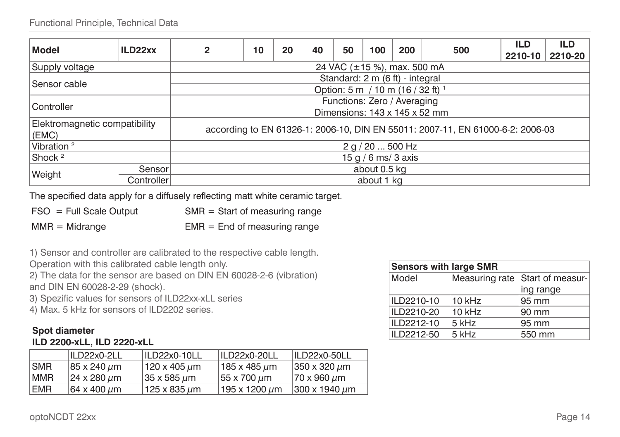| Model                         | ILD22xx                            | $\mathbf{2}$                                                                   | 10                                | 20 | 40 | 50                              | 100          | 200 | 500 | <b>ILD</b><br>2210-10 | <b>ILD</b><br>2210-20 |
|-------------------------------|------------------------------------|--------------------------------------------------------------------------------|-----------------------------------|----|----|---------------------------------|--------------|-----|-----|-----------------------|-----------------------|
| Supply voltage                | 24 VAC $(\pm 15 \%)$ , max. 500 mA |                                                                                |                                   |    |    |                                 |              |     |     |                       |                       |
| Sensor cable                  |                                    |                                                                                |                                   |    |    | Standard: 2 m (6 ft) - integral |              |     |     |                       |                       |
|                               |                                    |                                                                                | Option: 5 m / 10 m (16 / 32 ft) 1 |    |    |                                 |              |     |     |                       |                       |
| Controller                    |                                    | Functions: Zero / Averaging                                                    |                                   |    |    |                                 |              |     |     |                       |                       |
|                               |                                    | Dimensions: 143 x 145 x 52 mm                                                  |                                   |    |    |                                 |              |     |     |                       |                       |
| Elektromagnetic compatibility |                                    | according to EN 61326-1: 2006-10, DIN EN 55011: 2007-11, EN 61000-6-2: 2006-03 |                                   |    |    |                                 |              |     |     |                       |                       |
| (EMC)                         |                                    |                                                                                |                                   |    |    |                                 |              |     |     |                       |                       |
| Vibration <sup>2</sup>        |                                    | 2 q / 20  500 Hz                                                               |                                   |    |    |                                 |              |     |     |                       |                       |
| Shock <sup>2</sup>            |                                    | 15 g / 6 ms/ 3 axis                                                            |                                   |    |    |                                 |              |     |     |                       |                       |
| Sensor                        |                                    |                                                                                |                                   |    |    |                                 | about 0.5 kg |     |     |                       |                       |
| Weight                        | Controller                         |                                                                                | about 1 kg                        |    |    |                                 |              |     |     |                       |                       |

The specified data apply for a diffusely reflecting matt white ceramic target.

| $FSO = Full Scale Output$ | $SMR = Start$ of measuring range |
|---------------------------|----------------------------------|
| $MMR = Midrange$          | $EMR = End of measuring range$   |

1) Sensor and controller are calibrated to the respective cable length.

Operation with this calibrated cable length only.

2) The data for the sensor are based on DIN EN 60028-2-6 (vibration) and DIN EN 60028-2-29 (shock).

3) Spezific values for sensors of ILD22xx-xLL series

4) Max. 5 kHz for sensors of ILD2202 series.

#### **Spot diameter ILD 2200-xLL, ILD 2220-xLL**

|            | ILD22x0-2LL          | $ILD22x0-10LL$ | ILD22x0-20LL            | ILD22x0-50LL          |
|------------|----------------------|----------------|-------------------------|-----------------------|
| <b>SMR</b> | 85 x 240 µm          | 120 x 405 um   | 185 x 485 µm            | 350 x 320 µm          |
| <b>MMR</b> | 24 x 280 µm          | 35 x 585 µm    | 55 x 700 µm             | ∣70 x 960 µm          |
| <b>EMR</b> | 164 x 400 <i>u</i> m | 125 x 835 um   | l 195 x 1200 <i>u</i> m | 300 x 1940 <i>u</i> m |

| <b>Sensors with large SMR</b> |          |                                 |  |  |  |  |
|-------------------------------|----------|---------------------------------|--|--|--|--|
| Model                         |          | Measuring rate Start of measur- |  |  |  |  |
|                               |          | ing range                       |  |  |  |  |
| ILD2210-10                    | $10$ kHz | 95 mm                           |  |  |  |  |
| ILD2210-20                    | $10$ kHz | $90 \text{ mm}$                 |  |  |  |  |
| ILD2212-10                    | 5 kHz    | 95 mm                           |  |  |  |  |
| ILD2212-50                    | 5 kHz    | 550 mm                          |  |  |  |  |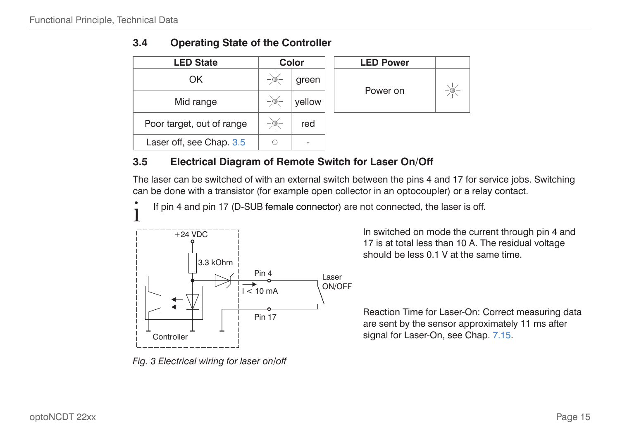| <b>LED State</b>          | Color  | <b>LED Power</b> |
|---------------------------|--------|------------------|
| OK                        | green  |                  |
| Mid range                 | yellow | Power on         |
| Poor target, out of range | red    |                  |
| Laser off, see Chap. 3.5  |        |                  |

<span id="page-14-1"></span><span id="page-14-0"></span>

| 3.4 |  |  |  | <b>Operating State of the Controller</b> |
|-----|--|--|--|------------------------------------------|
|-----|--|--|--|------------------------------------------|

| <b>LED Power</b> |  |
|------------------|--|
| Power on         |  |

# <span id="page-14-2"></span>**3.5 Electrical Diagram of Remote Switch for Laser On/Off**

The laser can be switched of with an external switch between the pins 4 and 17 for service jobs. Switching can be done with a transistor (for example open collector in an optocoupler) or a relay contact.

If pin 4 and pin 17 (D-SUB female connector) are not connected, the laser is off.



*Fig. 3 Electrical wiring for laser on/off*

In switched on mode the current through pin 4 and 17 is at total less than 10 A. The residual voltage should be less 0.1 V at the same time.

Reaction Time for Laser-On: Correct measuring data are sent by the sensor approximately 11 ms after signal for Laser-On[, see Chap. 7.15](#page-55-1).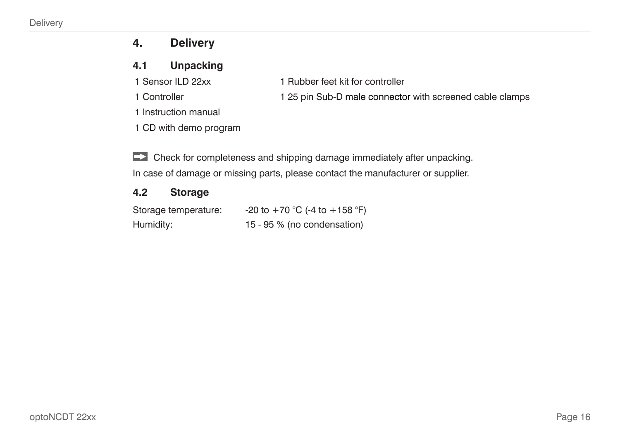# <span id="page-15-0"></span>**4. Delivery**

# **4.1 Unpacking**

- 
- 
- 1 Sensor ILD 22xx 1 Rubber feet kit for controller
- 1 Controller 1 25 pin Sub-D male connector with screened cable clamps
- 1 Instruction manual
- 1 CD with demo program
- Check for completeness and shipping damage immediately after unpacking.

# In case of damage or missing parts, please contact the manufacturer or supplier.

# **4.2 Storage**

| Storage temperature: | -20 to +70 °C (-4 to +158 °F) |
|----------------------|-------------------------------|
| Humidity:            | 15 - 95 % (no condensation)   |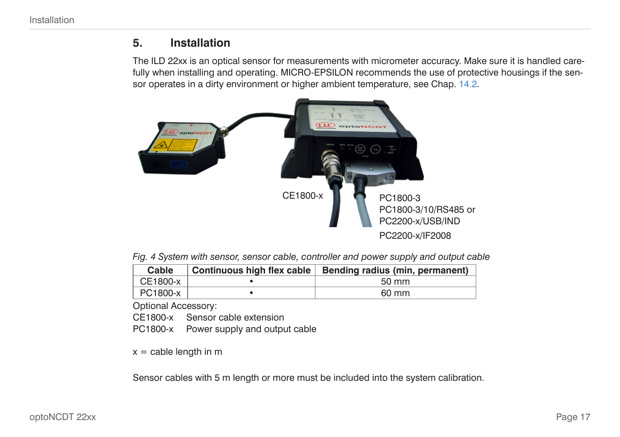# <span id="page-16-1"></span><span id="page-16-0"></span>**5. Installation**

The ILD 22xx is an optical sensor for measurements with micrometer accuracy. Make sure it is handled carefully when installing and operating. MICRO-EPSILON recommends the use of protective housings if the sensor operates in a dirty environment or higher ambient temperatur[e, see Chap. 14.2.](#page-67-1)



*Fig. 4 System with sensor, sensor cable, controller and power supply and output cable*

| Cable      | Continuous high flex cable   Bending radius (min, permanent) |
|------------|--------------------------------------------------------------|
| $CE1800-x$ | 50 mm                                                        |
| PC1800-x   | 60 mm                                                        |

Optional Accessory:

CE1800-x Sensor cable extension

PC1800-x Power supply and output cable

 $x =$  cable length in m

Sensor cables with 5 m length or more must be included into the system calibration.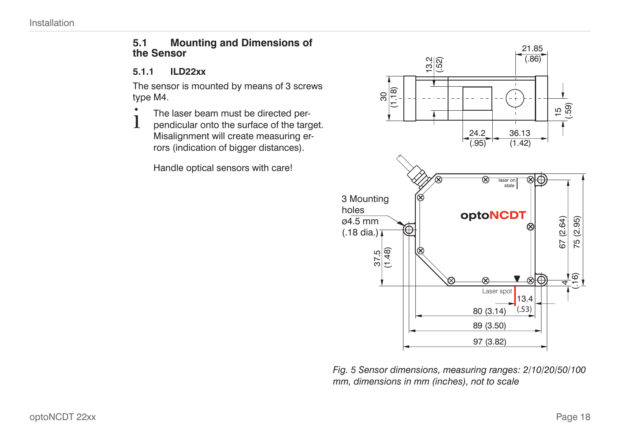#### <span id="page-17-0"></span>**5.1 Mounting and Dimensions of the Sensor**

#### **5.1.1 ILD22xx**

The sensor is mounted by means of 3 screws type M4.

- $\int$  The laser beam must be directed per-<br>pendicular onto the surface of the tarc
- pendicular onto the surface of the target. Misalignment will create measuring errors (indication of bigger distances).

Handle optical sensors with care!



*Fig. 5 Sensor dimensions, measuring ranges: 2/10/20/50/100 mm, dimensions in mm (inches), not to scale*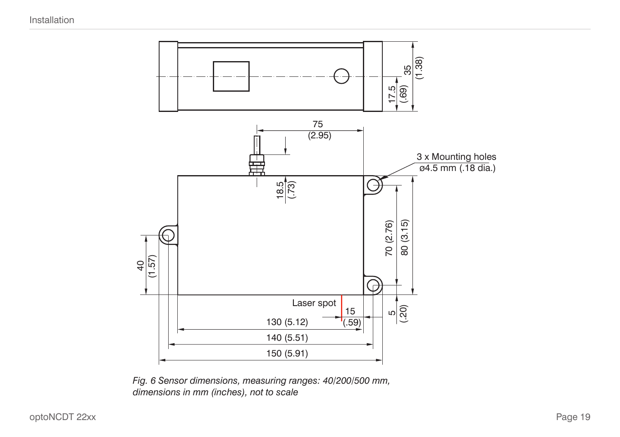

*Fig. 6 Sensor dimensions, measuring ranges: 40/200/500 mm, dimensions in mm (inches), not to scale*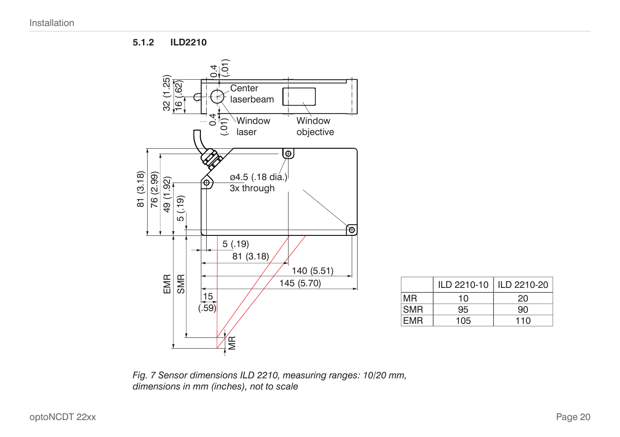**5.1.2 ILD2210**

<span id="page-19-0"></span>

*Fig. 7 Sensor dimensions ILD 2210, measuring ranges: 10/20 mm, dimensions in mm (inches), not to scale*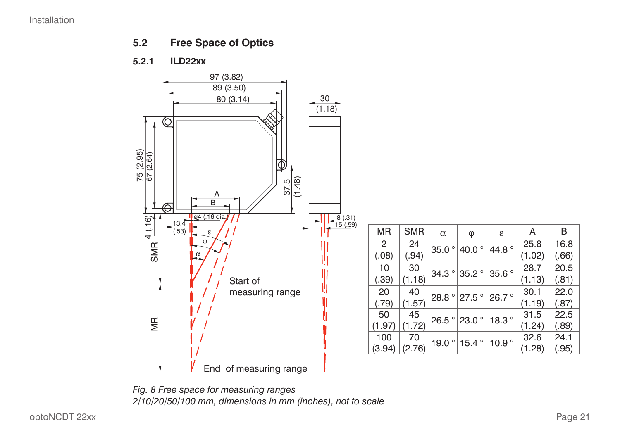<span id="page-20-0"></span>

#### **5.2.1 ILD22xx**



*Fig. 8 Free space for measuring ranges 2/10/20/50/100 mm, dimensions in mm (inches), not to scale*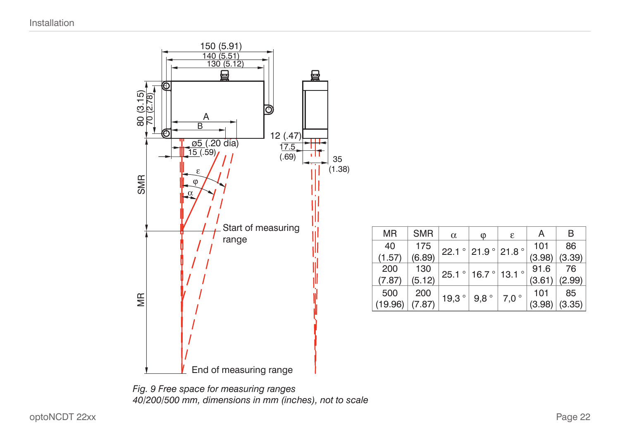

| <b>MR</b> | <b>SMR</b> | $\alpha$        | Φ                                                 | ε    | А      | В      |
|-----------|------------|-----------------|---------------------------------------------------|------|--------|--------|
| 40        | 175        |                 | 22.1 ° 21.9 ° 21.8 °                              |      | 101    | 86     |
| (1.57)    | (6.89)     |                 |                                                   |      | (3.98) | (3.39) |
| 200       | 130        |                 | $25.1$ $^{\circ}$ 16.7 $^{\circ}$ 13.1 $^{\circ}$ |      | 91.6   | 76     |
| (7.87)    | (5.12)     |                 |                                                   |      | (3.61) | (2.99) |
| 500       | 200        |                 |                                                   |      | 101    | 85     |
| (19.96)   | (7.87)     | 19,3 $^{\circ}$ | 9,8°                                              | 7,0° | (3.98) | (3.35) |

*Fig. 9 Free space for measuring ranges 40/200/500 mm, dimensions in mm (inches), not to scale*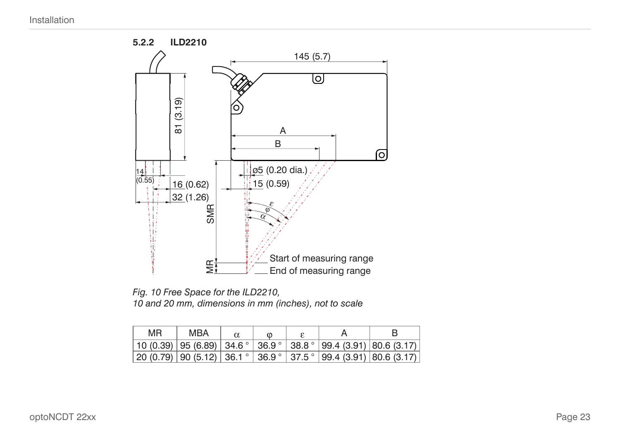<span id="page-22-0"></span>

*Fig. 10 Free Space for the ILD2210, 10 and 20 mm, dimensions in mm (inches), not to scale*

| MR. | MBA | $\omega$ |                                                                                                                                                     |  |
|-----|-----|----------|-----------------------------------------------------------------------------------------------------------------------------------------------------|--|
|     |     |          | 10 (0.39)   95 (6.89)   34.6 °   36.9 °   38.8 °   99.4 (3.91)   80.6 (3.17)                                                                        |  |
|     |     |          | $\mid$ 20 (0.79) $\mid$ 90 (5.12) $\mid$ 36.1 $^{\circ}$ $\mid$ 36.9 $^{\circ}$ $\mid$ 37.5 $^{\circ}$ $\mid$ 99.4 (3.91) $\mid$ 80.6 (3.17) $\mid$ |  |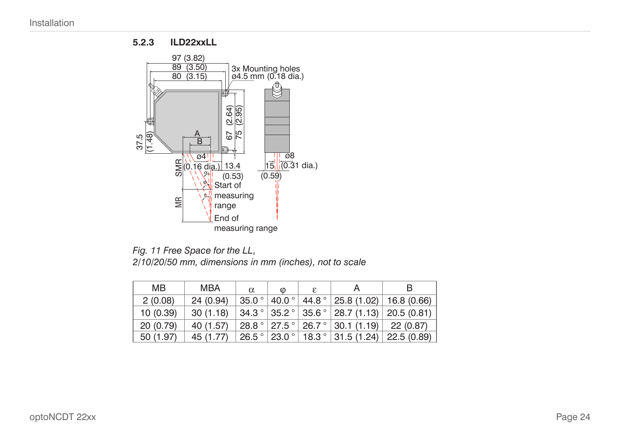#### **5.2.3 ILD22xxLL**

<span id="page-23-0"></span>

*Fig. 11 Free Space for the LL, 2/10/20/50 mm, dimensions in mm (inches), not to scale*

| MВ        | MBA       | $\alpha$ | $\omega$ | ε | A                                                                                                          | в                                                                              |
|-----------|-----------|----------|----------|---|------------------------------------------------------------------------------------------------------------|--------------------------------------------------------------------------------|
| 2(0.08)   | 24(0.94)  |          |          |   |                                                                                                            | $35.0^{\circ}$   40.0 $^{\circ}$   44.8 $^{\circ}$   25.8 (1.02)   16.8 (0.66) |
| 10(0.39)  | 30(1.18)  |          |          |   |                                                                                                            | $34.3^{\circ}$ 35.2 $^{\circ}$ 35.6 $^{\circ}$ 28.7 (1.13) 20.5 (0.81)         |
| 20(0.79)  | 40 (1.57) |          |          |   | $\vert$ 28.8 $\degree$ $\vert$ 27.5 $\degree$ $\vert$ 26.7 $\degree$ $\vert$ 30.1 (1.19) $\vert$ 22 (0.87) |                                                                                |
| 50 (1.97) | 45 (1.77) |          |          |   |                                                                                                            | $ 26.5^{\circ} 23.0^{\circ} 18.3^{\circ} 31.5(1.24) 22.5(0.89) $               |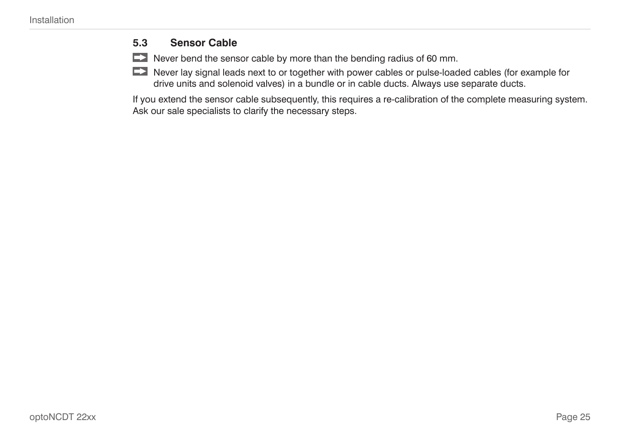# <span id="page-24-0"></span>**5.3 Sensor Cable**

 $\Box$  Never bend the sensor cable by more than the bending radius of 60 mm.

Never lay signal leads next to or together with power cables or pulse-loaded cables (for example for drive units and solenoid valves) in a bundle or in cable ducts. Always use separate ducts.

If you extend the sensor cable subsequently, this requires a re-calibration of the complete measuring system. Ask our sale specialists to clarify the necessary steps.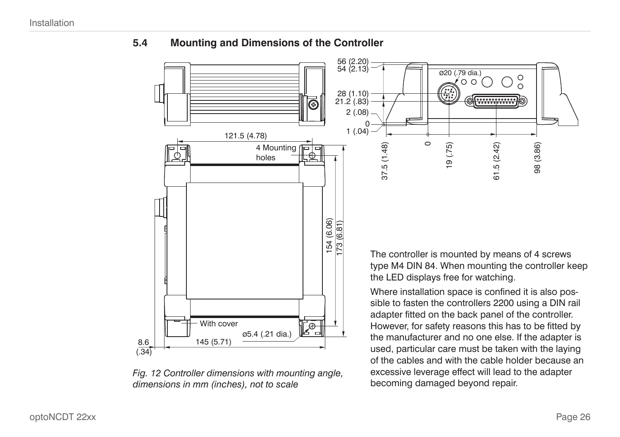

### <span id="page-25-0"></span>**5.4 Mounting and Dimensions of the Controller**

*Fig. 12 Controller dimensions with mounting angle, dimensions in mm (inches), not to scale*

type M4 DIN 84. When mounting the controller keep

However, for safety reasons this has to be fitted by the manufacturer and no one else. If the adapter is used, particular care must be taken with the laying of the cables and with the cable holder because an excessive leverage effect will lead to the adapter becoming damaged beyond repair.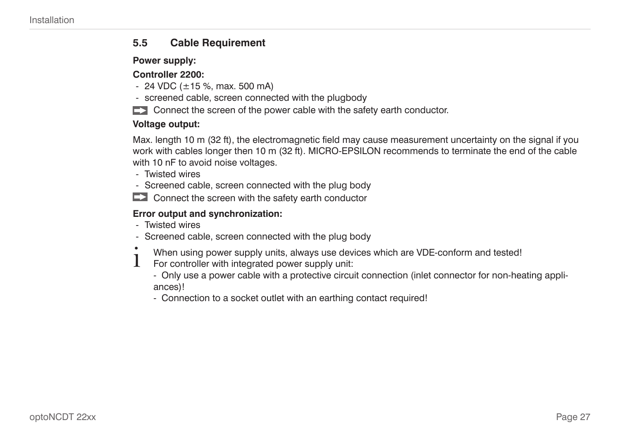#### <span id="page-26-0"></span>**5.5 Cable Requirement**

#### **Power supply:**

#### **Controller 2200:**

- $-$  24 VDC ( $\pm$ 15 %, max. 500 mA)
- screened cable, screen connected with the plugbody
- $\Box$  Connect the screen of the power cable with the safety earth conductor.

#### **Voltage output:**

Max. length 10 m (32 ft), the electromagnetic field may cause measurement uncertainty on the signal if you work with cables longer then 10 m (32 ft). MICRO-EPSILON recommends to terminate the end of the cable with 10 nF to avoid noise voltages.

- Twisted wires
- Screened cable, screen connected with the plug body
- $\Box$  Connect the screen with the safety earth conductor

### **Error output and synchronization:**

- Twisted wires
- Screened cable, screen connected with the plug body
- $\sum_{i=1}^{n}$  When using power supply units, always use devices which are VDE-conform and tested!
- For controller with integrated power supply unit:
	- Only use a power cable with a protective circuit connection (inlet connector for non-heating appliances)!
	- Connection to a socket outlet with an earthing contact required!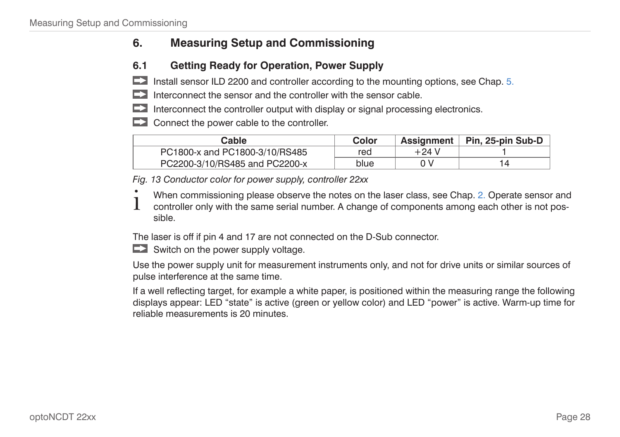# <span id="page-27-0"></span>**6. Measuring Setup and Commissioning**

# <span id="page-27-1"></span>**6.1 Getting Ready for Operation, Power Supply**

 $\blacktriangleright$  Install sensor ILD 2200 and controller according to the mounting options[, see Chap. 5.](#page-16-1)

- $\Box$  Interconnect the sensor and the controller with the sensor cable.
- $\Box$  Interconnect the controller output with display or signal processing electronics.
- $\Box$  Connect the power cable to the controller.

| Cable                          | Color | <b>Assignment</b> | ∣ Pin. 25-pin Sub-D |
|--------------------------------|-------|-------------------|---------------------|
| PC1800-x and PC1800-3/10/RS485 | red   | $+24$ V           |                     |
| PC2200-3/10/RS485 and PC2200-x | blue  |                   |                     |

*Fig. 13 Conductor color for power supply, controller 22xx*

- When commissioning please observe the notes on the laser clas[s, see Chap. 2.](#page-8-1) Operate sensor and
- controller only with the same serial number. A change of components among each other is not possible.

The laser is off if pin 4 and 17 are not connected on the D-Sub connector.

 $\Box$  Switch on the power supply voltage.

Use the power supply unit for measurement instruments only, and not for drive units or similar sources of pulse interference at the same time.

If a well reflecting target, for example a white paper, is positioned within the measuring range the following displays appear: LED "state" is active (green or yellow color) and LED "power" is active. Warm-up time for reliable measurements is 20 minutes.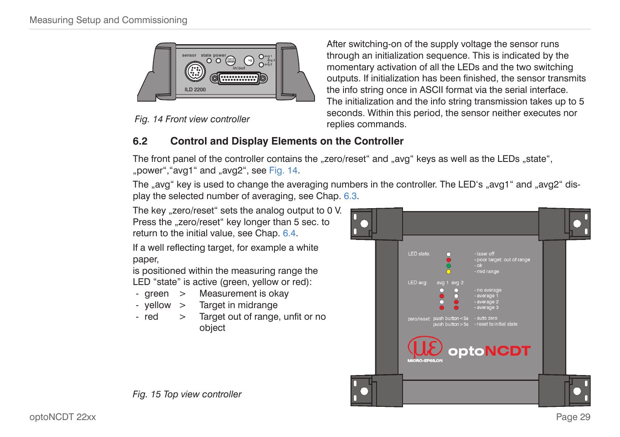<span id="page-28-0"></span>



After switching-on of the supply voltage the sensor runs through an initialization sequence. This is indicated by the momentary activation of all the LEDs and the two switching outputs. If initialization has been finished, the sensor transmits the info string once in ASCII format via the serial interface. The initialization and the info string transmission takes up to 5 seconds. Within this period, the sensor neither executes nor replies commands.

# <span id="page-28-1"></span>**6.2 Control and Display Elements on the Controller**

The front panel of the controller contains the "zero/reset" and "avg" keys as well as the LEDs "state", .bower", "avg1" and .avg2"[, see Fig. 14.](#page-28-1)

The "avg" key is used to change the averaging numbers in the controller. The LED's "avg1" and "avg2" display the selected number of averaging[, see Chap. 6.3.](#page-29-1)

The key "zero/reset" sets the analog output to 0 V. Press the "zero/reset" key longer than 5 sec. to return to the initial valu[e, see Chap. 6.4](#page-36-1).

If a well reflecting target, for example a white paper,

is positioned within the measuring range the LED "state" is active (green, yellow or red):

- green > Measurement is okay
- yellow > Target in midrange
- red > Target out of range, unfit or no object

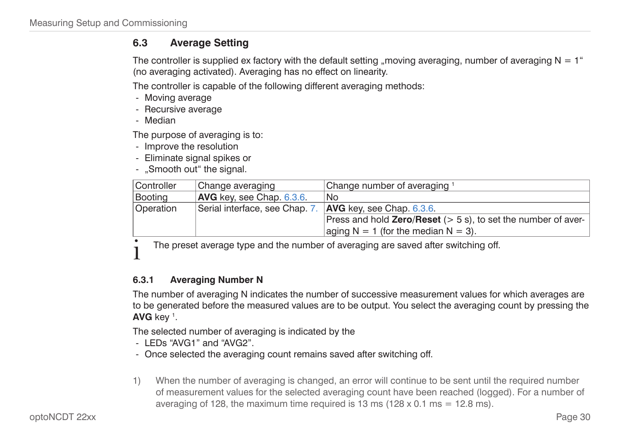# <span id="page-29-1"></span><span id="page-29-0"></span>**6.3 Average Setting**

The controller is supplied ex factory with the default setting "moving averaging, number of averaging  $N = 1<sup>th</sup>$ (no averaging activated). Averaging has no effect on linearity.

The controller is capable of the following different averaging methods:

- Moving average
- Recursive average
- Median

The purpose of averaging is to:

- Improve the resolution
- Eliminate signal spikes or
- "Smooth out" the signal.

| Controller | Change averaging               | Change number of averaging 1                                            |
|------------|--------------------------------|-------------------------------------------------------------------------|
| Booting    | AVG key, see Chap. 6.3.6.      | No                                                                      |
| Operation  | Serial interface, see Chap. 7. | $ $ AVG key, see Chap. 6.3.6.                                           |
|            |                                | Press and hold <b>Zero/Reset</b> $(> 5 s)$ , to set the number of aver- |
|            |                                | aging $N = 1$ (for the median $N = 3$ ).                                |

The preset average type and the number of averaging are saved after switching off.

#### **6.3.1 Averaging Number N**

The number of averaging N indicates the number of successive measurement values for which averages are to be generated before the measured values are to be output. You select the averaging count by pressing the **AVG** key 1 .

The selected number of averaging is indicated by the

- LEDs "AVG1" and "AVG2".
- Once selected the averaging count remains saved after switching off.
- 1) When the number of averaging is changed, an error will continue to be sent until the required number of measurement values for the selected averaging count have been reached (logged). For a number of averaging of 128, the maximum time required is 13 ms ( $128 \times 0.1$  ms = 12.8 ms).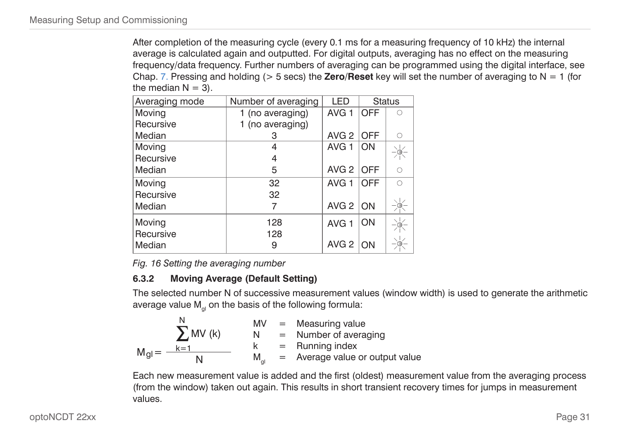<span id="page-30-0"></span>After completion of the measuring cycle (every 0.1 ms for a measuring frequency of 10 kHz) the internal average is calculated again and outputted. For digital outputs, averaging has no effect on the measuring frequency/data frequency. Further numbers of averaging can be programmed using the digital interfac[e, see](#page-43-1)  [Chap. 7.](#page-43-1) Pressing and holding (> 5 secs) the **Zero/Reset** key will set the number of averaging to N = 1 (for the median  $N = 3$ ).

| Averaging mode | Number of averaging | LED              |            | <b>Status</b> |
|----------------|---------------------|------------------|------------|---------------|
| Moving         | 1 (no averaging)    | AVG <sub>1</sub> | <b>OFF</b> | $\bigcirc$    |
| Recursive      | 1 (no averaging)    |                  |            |               |
| Median         | 3                   | AVG <sub>2</sub> | <b>OFF</b> | $\bigcirc$    |
| Moving         | 4                   | AVG <sub>1</sub> | ON         |               |
| Recursive      | 4                   |                  |            |               |
| Median         | 5                   | AVG <sub>2</sub> | <b>OFF</b> | $\circ$       |
| Moving         | 32                  | AVG <sub>1</sub> | OFF        | $\bigcap$     |
| Recursive      | 32                  |                  |            |               |
| Median         |                     | AVG $2$ ON       |            |               |
| Moving         | 128                 | AVG <sub>1</sub> | ON         |               |
| Recursive      | 128                 |                  |            |               |
| Median         | 9                   | AVG <sub>2</sub> | ON         |               |

*Fig. 16 Setting the averaging number*

### **6.3.2 Moving Average (Default Setting)**

The selected number N of successive measurement values (window width) is used to generate the arithmetic average value  $M_{pl}$  on the basis of the following formula:

$$
M_{gl} = \frac{\sum_{k=1}^{N} MV(k)}{N} \qquad \begin{array}{rcl} MV & = & Measuring value\\ N & = & Number of averaging\\ k & = & Running index\\ N & & M_{gl} & = & Average value or output value \end{array}
$$

Each new measurement value is added and the first (oldest) measurement value from the averaging process (from the window) taken out again. This results in short transient recovery times for jumps in measurement values.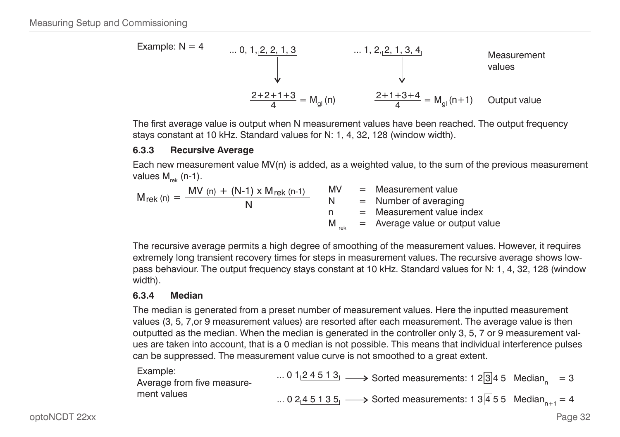<span id="page-31-0"></span>

The first average value is output when N measurement values have been reached. The output frequency stays constant at 10 kHz. Standard values for N: 1, 4, 32, 128 (window width).

#### **6.3.3 Recursive Average**

Each new measurement value MV(n) is added, as a weighted value, to the sum of the previous measurement values  $M_{\text{rel}}$  (n-1).

$$
M_{rek (n)} = \frac{MV (n) + (N-1) \times M_{rek (n-1)}}{N} \times \begin{array}{l} MV \\ = \text{ Measurement value} \\ N \\ = \text{Number of averaging} \\ M_{rek} = \text{Average value or output value} \end{array}
$$

The recursive average permits a high degree of smoothing of the measurement values. However, it requires extremely long transient recovery times for steps in measurement values. The recursive average shows lowpass behaviour. The output frequency stays constant at 10 kHz. Standard values for N: 1, 4, 32, 128 (window width).

#### **6.3.4 Median**

The median is generated from a preset number of measurement values. Here the inputted measurement values (3, 5, 7,or 9 measurement values) are resorted after each measurement. The average value is then outputted as the median. When the median is generated in the controller only 3, 5, 7 or 9 measurement values are taken into account, that is a 0 median is not possible. This means that individual interference pulses can be suppressed. The measurement value curve is not smoothed to a great extent.

| Example:<br>Average from five measure- | 0 1 $24513$ $\longrightarrow$ Sorted measurements: 1 2 3 4 5 Median, = 3  |  |
|----------------------------------------|---------------------------------------------------------------------------|--|
| ment values                            | 0 2 4 5 1 3 5 $\longrightarrow$ Sorted measurements: 1 3 4 5 5 Median = 4 |  |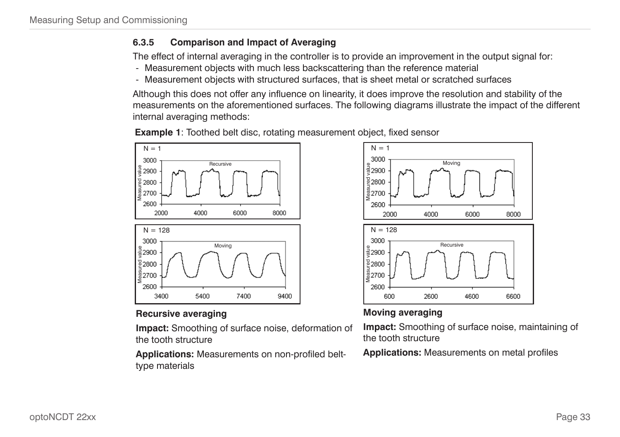### <span id="page-32-0"></span>**6.3.5 Comparison and Impact of Averaging**

The effect of internal averaging in the controller is to provide an improvement in the output signal for:

- Measurement objects with much less backscattering than the reference material
- Measurement objects with structured surfaces, that is sheet metal or scratched surfaces

Although this does not offer any influence on linearity, it does improve the resolution and stability of the measurements on the aforementioned surfaces. The following diagrams illustrate the impact of the different internal averaging methods:



**Example 1**: Toothed belt disc, rotating measurement object, fixed sensor

### **Recursive averaging**

**Impact:** Smoothing of surface noise, deformation of the tooth structure

**Applications:** Measurements on non-profiled belttype materials



### **Moving averaging**

**Impact:** Smoothing of surface noise, maintaining of the tooth structure

**Applications:** Measurements on metal profiles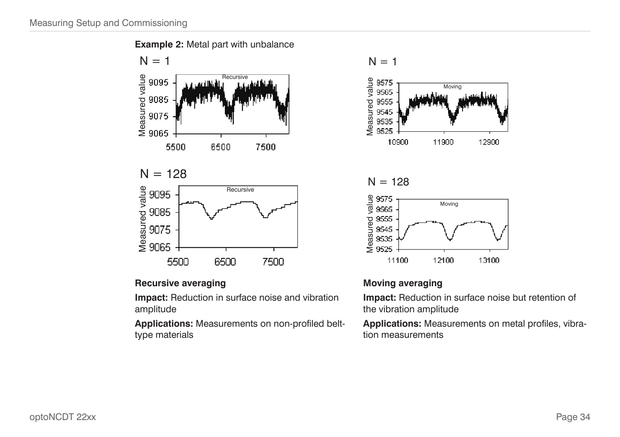

### **Recursive averaging**

**Impact:** Reduction in surface noise and vibration amplitude

**Applications:** Measurements on non-profiled belttype materials

$$
N = 1
$$







#### **Moving averaging**

**Impact:** Reduction in surface noise but retention of the vibration amplitude

**Applications:** Measurements on metal profiles, vibration measurements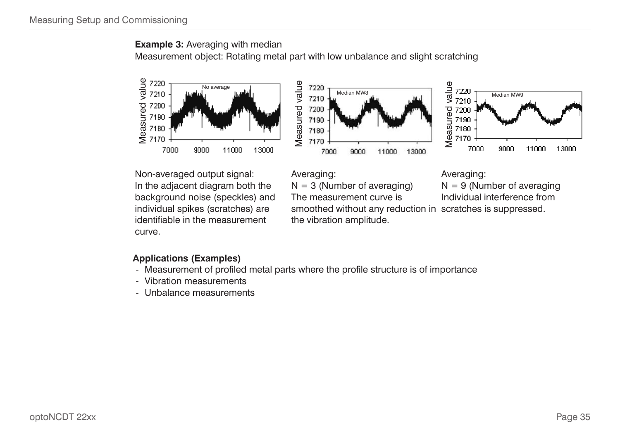#### **Example 3:** Averaging with median Measurement object: Rotating metal part with low unbalance and slight scratching







Non-averaged output signal: In the adjacent diagram both the background noise (speckles) and individual spikes (scratches) are identifiable in the measurement curve.

Averaging:

 $N = 3$  (Number of averaging)

The measurement curve is

Averaging:

 $N = 9$  (Number of averaging Individual interference from

smoothed without any reduction in scratches is suppressed. the vibration amplitude.

# **Applications (Examples)**

- Measurement of profiled metal parts where the profile structure is of importance
- Vibration measurements
- Unbalance measurements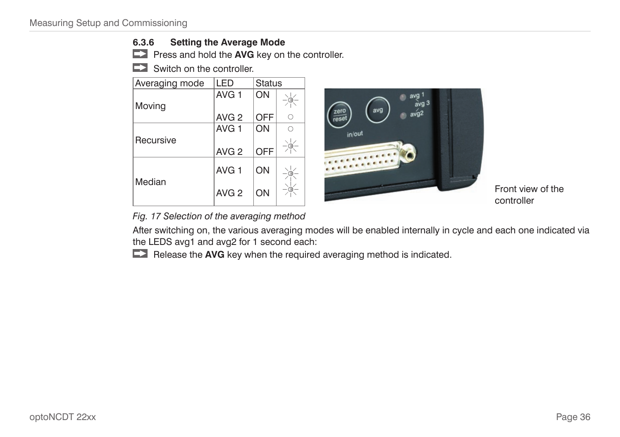#### <span id="page-35-1"></span><span id="page-35-0"></span>**6.3.6 Setting the Average Mode**

**Press and hold the AVG** key on the controller.

Switch on the controller.

| Averaging mode | LED              | <b>Status</b> |  |
|----------------|------------------|---------------|--|
| Moving         | AVG <sub>1</sub> | ON            |  |
|                | AVG <sub>2</sub> | <b>OFF</b>    |  |
|                | AVG <sub>1</sub> | ON            |  |
| Recursive      |                  |               |  |
|                | AVG <sub>2</sub> | <b>OFF</b>    |  |
| Median         | AVG <sub>1</sub> | ON            |  |
|                | AVG <sub>2</sub> | ΟN            |  |



Front view of the controller

*Fig. 17 Selection of the averaging method*

After switching on, the various averaging modes will be enabled internally in cycle and each one indicated via the LEDS avg1 and avg2 for 1 second each:

**Release the AVG** key when the required averaging method is indicated.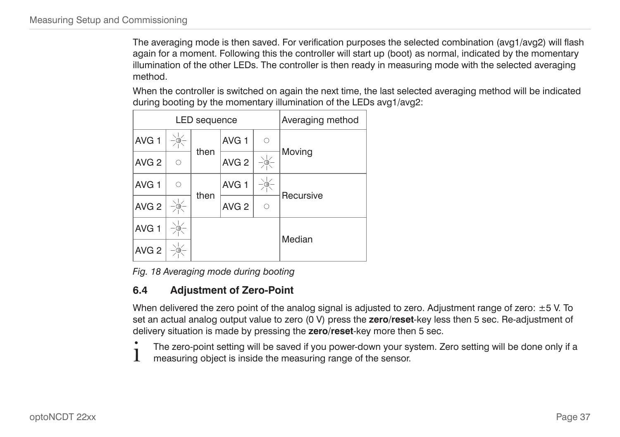The averaging mode is then saved. For verification purposes the selected combination (avg1/avg2) will flash again for a moment. Following this the controller will start up (boot) as normal, indicated by the momentary illumination of the other LEDs. The controller is then ready in measuring mode with the selected averaging method.

When the controller is switched on again the next time, the last selected averaging method will be indicated during booting by the momentary illumination of the LEDs avg1/avg2:

|                  |   | LED sequence | Averaging method |            |           |  |
|------------------|---|--------------|------------------|------------|-----------|--|
| AVG <sub>1</sub> |   |              | AVG <sub>1</sub> | $\circ$    |           |  |
| AVG <sub>2</sub> | ∩ | then         | AVG <sub>2</sub> |            | Moving    |  |
| AVG <sub>1</sub> | ∩ |              | AVG <sub>1</sub> |            | Recursive |  |
| AVG <sub>2</sub> |   | then         | AVG <sub>2</sub> | $\bigcirc$ |           |  |
| AVG <sub>1</sub> |   |              |                  |            | Median    |  |
| AVG <sub>2</sub> |   |              |                  |            |           |  |

*Fig. 18 Averaging mode during booting*

## <span id="page-36-0"></span>**6.4 Adjustment of Zero-Point**

When delivered the zero point of the analog signal is adjusted to zero. Adjustment range of zero:  $\pm$ 5 V. To set an actual analog output value to zero (0 V) press the **zero/reset**-key less then 5 sec. Re-adjustment of delivery situation is made by pressing the **zero/reset**-key more then 5 sec.

The zero-point setting will be saved if you power-down your system. Zero setting will be done only if a<br>measuring object is inside the measuring range of the sensor. measuring object is inside the measuring range of the sensor.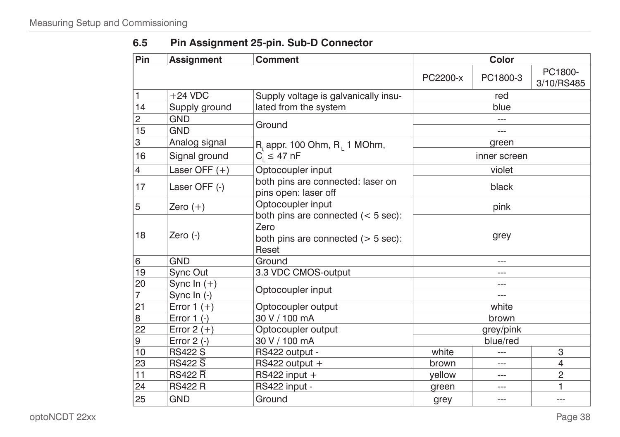| 6.5 | Pin Assignment 25-pin. Sub-D Connector |
|-----|----------------------------------------|
|-----|----------------------------------------|

| Pin            | <b>Assignment</b>   | <b>Comment</b>                                                                                      | <b>Color</b> |              |                       |  |
|----------------|---------------------|-----------------------------------------------------------------------------------------------------|--------------|--------------|-----------------------|--|
|                |                     |                                                                                                     | PC2200-x     | PC1800-3     | PC1800-<br>3/10/RS485 |  |
| 1              | $+24$ VDC           | Supply voltage is galvanically insu-                                                                |              | red          |                       |  |
| 14             | Supply ground       | lated from the system                                                                               |              | blue         |                       |  |
| $\overline{c}$ | <b>GND</b>          | Ground                                                                                              |              |              |                       |  |
| 15             | <b>GND</b>          |                                                                                                     |              | ---          |                       |  |
| 3              | Analog signal       | $R_i$ appr. 100 Ohm, $R_i$ 1 MOhm,                                                                  |              | green        |                       |  |
| 16             | Signal ground       | $C_i \leq 47 \text{ nF}$                                                                            |              | inner screen |                       |  |
| 4              | Laser OFF $(+)$     | Optocoupler input                                                                                   |              | violet       |                       |  |
| 17             | Laser OFF (-)       | both pins are connected: laser on<br>pins open: laser off                                           |              | black        |                       |  |
| 5              | Zero $(+)$          | Optocoupler input                                                                                   | pink         |              |                       |  |
| 18             | Zero $(-)$          | both pins are connected $(< 5 sec)$ :<br>Zero<br>both pins are connected $($ > 5 sec $)$ :<br>Reset | grey         |              |                       |  |
| 6              | <b>GND</b>          | Ground                                                                                              |              | ---          |                       |  |
| 19             | Sync Out            | 3.3 VDC CMOS-output                                                                                 |              | ---          |                       |  |
| 20             | Sync In $(+)$       | Optocoupler input                                                                                   |              |              |                       |  |
| $\overline{7}$ | Sync $\ln$ $(-)$    |                                                                                                     |              |              |                       |  |
| 21             | Error $1 (+)$       | Optocoupler output                                                                                  | white        |              |                       |  |
| 8              | Error $1$ (-)       | 30 V / 100 mA                                                                                       |              | brown        |                       |  |
| 22             | Error $2 (+)$       | Optocoupler output                                                                                  |              | grey/pink    |                       |  |
| 9              | Error $2$ (-)       | 30 V / 100 mA                                                                                       |              | blue/red     |                       |  |
| 10             | <b>RS422 S</b>      | RS422 output -                                                                                      | white        |              | 3                     |  |
| 23             | $RS422\overline{S}$ | RS422 output +                                                                                      | brown        |              | 4                     |  |
| 11             | RS422R              | RS422 input $+$                                                                                     | vellow       | ---          | $\overline{2}$        |  |
| 24             | <b>RS422 R</b>      | RS422 input -                                                                                       | green        | $---$        | 1                     |  |
| 25             | <b>GND</b>          | Ground                                                                                              | grey         | ---          | $---$                 |  |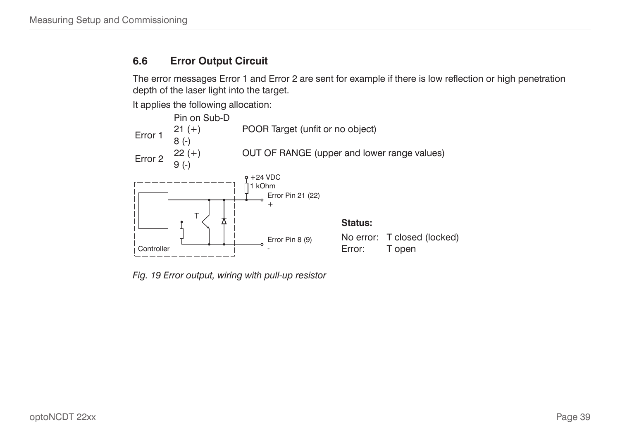## **6.6 Error Output Circuit**

The error messages Error 1 and Error 2 are sent for example if there is low reflection or high penetration depth of the laser light into the target.

It applies the following allocation:



*Fig. 19 Error output, wiring with pull-up resistor*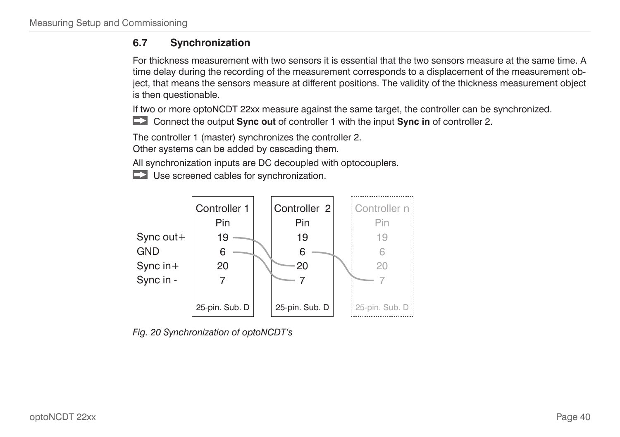## **6.7 Synchronization**

For thickness measurement with two sensors it is essential that the two sensors measure at the same time. A time delay during the recording of the measurement corresponds to a displacement of the measurement object, that means the sensors measure at different positions. The validity of the thickness measurement object is then questionable.

If two or more optoNCDT 22xx measure against the same target, the controller can be synchronized.

Connect the output **Sync out** of controller 1 with the input **Sync in** of controller 2.

The controller 1 (master) synchronizes the controller 2. Other systems can be added by cascading them.

All synchronization inputs are DC decoupled with optocouplers.

Use screened cables for synchronization.



*Fig. 20 Synchronization of optoNCDT's*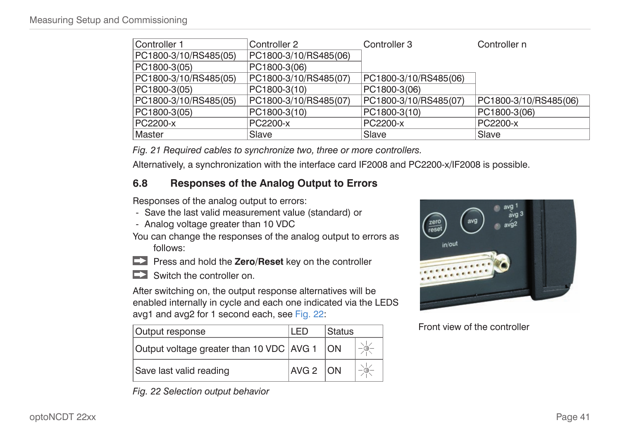| Controller 1          | Controller 2          | Controller 3          | Controller n          |
|-----------------------|-----------------------|-----------------------|-----------------------|
| PC1800-3/10/RS485(05) | PC1800-3/10/RS485(06) |                       |                       |
| PC1800-3(05)          | PC1800-3(06)          |                       |                       |
| PC1800-3/10/RS485(05) | PC1800-3/10/RS485(07) | PC1800-3/10/RS485(06) |                       |
| PC1800-3(05)          | PC1800-3(10)          | PC1800-3(06)          |                       |
| PC1800-3/10/RS485(05) | PC1800-3/10/RS485(07) | PC1800-3/10/RS485(07) | PC1800-3/10/RS485(06) |
| PC1800-3(05)          | PC1800-3(10)          | PC1800-3(10)          | PC1800-3(06)          |
| PC2200-x              | PC2200-x              | PC2200-x              | PC2200-x              |
| Master                | Slave                 | Slave                 | Slave                 |

*Fig. 21 Required cables to synchronize two, three or more controllers.*

Alternatively, a synchronization with the interface card IF2008 and PC2200-x/IF2008 is possible.

## <span id="page-40-1"></span>**6.8 Responses of the Analog Output to Errors**

Responses of the analog output to errors:

- Save the last valid measurement value (standard) or
- Analog voltage greater than 10 VDC
- You can change the responses of the analog output to errors as follows:
- **Press and hold the Zero/Reset** key on the controller
- Switch the controller on.

After switching on, the output response alternatives will be enabled internally in cycle and each one indicated via the LEDS avg1 and avg2 for 1 second each[, see Fig. 22:](#page-40-0)

| Output response                          | LED.         | <b>Status</b> |  |
|------------------------------------------|--------------|---------------|--|
| Output voltage greater than 10 VDC AVG 1 |              | <b>ON</b>     |  |
| Save last valid reading                  | $AVG 2$ $ON$ |               |  |

<span id="page-40-0"></span>*Fig. 22 Selection output behavior*



Front view of the controller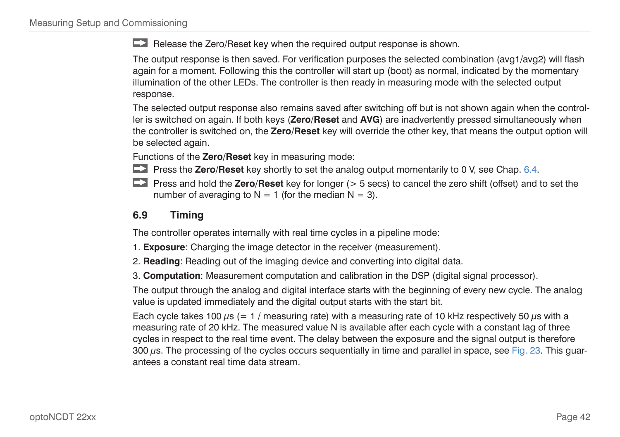Release the Zero/Reset key when the required output response is shown.

The output response is then saved. For verification purposes the selected combination (avg1/avg2) will flash again for a moment. Following this the controller will start up (boot) as normal, indicated by the momentary illumination of the other LEDs. The controller is then ready in measuring mode with the selected output response.

The selected output response also remains saved after switching off but is not shown again when the controller is switched on again. If both keys (**Zero/Reset** and **AVG**) are inadvertently pressed simultaneously when the controller is switched on, the **Zero/Reset** key will override the other key, that means the output option will be selected again.

Functions of the **Zero/Reset** key in measuring mode:

- **Press the Zero/Reset** key shortly to set the analog output momentarily to 0 [V, see Chap. 6.4](#page-36-0).
- **Press and hold the Zero/Reset** key for longer ( $>$  5 secs) to cancel the zero shift (offset) and to set the number of averaging to  $N = 1$  (for the median  $N = 3$ ).

## **6.9 Timing**

The controller operates internally with real time cycles in a pipeline mode:

- 1. **Exposure**: Charging the image detector in the receiver (measurement).
- 2. **Reading**: Reading out of the imaging device and converting into digital data.
- 3. **Computation**: Measurement computation and calibration in the DSP (digital signal processor).

The output through the analog and digital interface starts with the beginning of every new cycle. The analog value is updated immediately and the digital output starts with the start bit.

Each cycle takes 100  $\mu$ s (= 1 / measuring rate) with a measuring rate of 10 kHz respectively 50  $\mu$ s with a measuring rate of 20 kHz. The measured value N is available after each cycle with a constant lag of three cycles in respect to the real time event. The delay between the exposure and the signal output is therefore 300 µs. The processing of the cycles occurs sequentially in time and parallel in space[, see Fig. 23.](#page-42-0) This guarantees a constant real time data stream.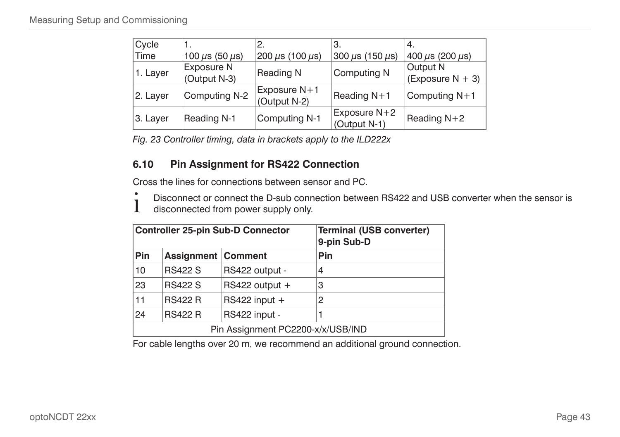| Cycle    |                            | 2.                             | З.                             | 4.                              |
|----------|----------------------------|--------------------------------|--------------------------------|---------------------------------|
| Time     | 100 $\mu$ s (50 $\mu$ s)   | 200 $\mu$ s (100 $\mu$ s)      | 300 $\mu$ s (150 $\mu$ s)      | $400 \mu s$ (200 $\mu s$ )      |
| 1. Layer | Exposure N<br>(Output N-3) | Reading N                      | Computing N                    | Output N<br>(Exposure $N + 3$ ) |
| 2. Layer | Computing N-2              | Exposure $N+1$<br>(Output N-2) | Reading $N+1$                  | Computing N+1                   |
| 3. Layer | Reading N-1                | Computing N-1                  | Exposure $N+2$<br>(Output N-1) | Reading N+2                     |

<span id="page-42-0"></span>*Fig. 23 Controller timing, data in brackets apply to the ILD222x*

#### **6.10 Pin Assignment for RS422 Connection**

Cross the lines for connections between sensor and PC.

- $\int$  Disconnect or connect the D-sub connection between RS422 and USB converter when the sensor is<br>disconnected from power supply only.
- disconnected from power supply only.

|                                   |                           | <b>Controller 25-pin Sub-D Connector</b> | <b>Terminal (USB converter)</b><br>9-pin Sub-D |  |  |  |  |
|-----------------------------------|---------------------------|------------------------------------------|------------------------------------------------|--|--|--|--|
| <b>Pin</b>                        | <b>Assignment Comment</b> |                                          | Pin                                            |  |  |  |  |
| 10                                | <b>RS422 S</b>            | RS422 output -                           | 4                                              |  |  |  |  |
| 23                                | <b>RS422 S</b>            | RS422 output $+$                         | 3                                              |  |  |  |  |
| 11                                | <b>RS422 R</b>            | $RS422$ input +                          | 2                                              |  |  |  |  |
| 24                                | <b>RS422 R</b>            | RS422 input -                            |                                                |  |  |  |  |
| Pin Assignment PC2200-x/x/USB/IND |                           |                                          |                                                |  |  |  |  |

For cable lengths over 20 m, we recommend an additional ground connection.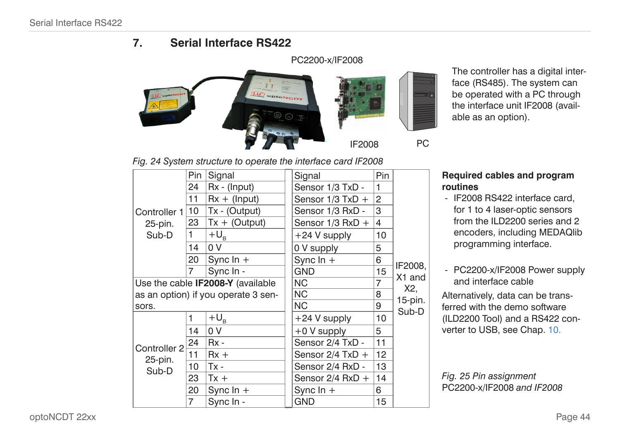## **7. Serial Interface RS422**

<span id="page-43-0"></span>

The controller has a digital interface (RS485). The system can be operated with a PC through the interface unit IF2008 (available as an option).

#### *Fig. 24 System structure to operate the interface card IF2008*

|              | Pin                  | Signal                              | Signal               | Pin |                               |
|--------------|----------------------|-------------------------------------|----------------------|-----|-------------------------------|
|              | 24<br>$Rx - (Input)$ |                                     | Sensor 1/3 TxD -     | 1   |                               |
|              | 11                   | $Rx + (Input)$                      | Sensor 1/3 TxD +     | 2   |                               |
| Controller 1 | 10                   | Tx - (Output)                       | Sensor 1/3 RxD -     | 3   |                               |
| 25-pin.      | 23                   | $Tx + (Output)$                     | Sensor $1/3$ RxD $+$ | 4   |                               |
| Sub-D        | 1                    | $+U_{R}$                            | $+24$ V supply       | 10  |                               |
|              | 14                   | 0 V                                 | 0 V supply           | 5   |                               |
|              | 20<br>Sync $\ln +$   |                                     | Sync $ln +$          | 6   |                               |
|              | $\overline{7}$       | Sync In -                           | <b>GND</b>           | 15  | IF2008,<br>X <sub>1</sub> and |
|              |                      | Use the cable IF2008-Y (available   | <b>NC</b>            | 7   | X2.                           |
|              |                      | as an option) if you operate 3 sen- | <b>NC</b>            | 8   | 15-pin.                       |
| sors.        |                      |                                     | <b>NC</b>            | 9   | Sub-D                         |
|              | 1                    | $+U_{B}$                            | $+24$ V supply       | 10  |                               |
|              | 14                   | 0 V                                 | +0 V supply          | 5   |                               |
| Controller 2 | 24                   | $Rx -$                              | Sensor 2/4 TxD -     | 11  |                               |
| 25-pin.      | 11                   | $Rx +$                              | Sensor $2/4$ TxD $+$ | 12  |                               |
| Sub-D        | 10                   | $Tx -$                              | Sensor 2/4 RxD -     | 13  |                               |
|              | 23                   | $Tx +$                              | Sensor 2/4 RxD +     | 14  |                               |
|              | 20                   | Sync $\ln +$                        | Sync $ln +$          | 6   |                               |
|              | 7                    | Sync In -                           | <b>GND</b>           | 15  |                               |

#### **Required cables and program routines**

- IF2008 RS422 interface card, for 1 to 4 laser-optic sensors from the ILD2200 series and 2 encoders, including MEDAQlib programming interface.
- PC2200-x/IF2008 Power supply and interface cable

Alternatively, data can be transferred with the demo software (ILD2200 Tool) and a RS422 converter to USB[, see Chap. 10.](#page-62-0)

*Fig. 25 Pin assignment*  PC2200-x/IF2008 *and IF2008*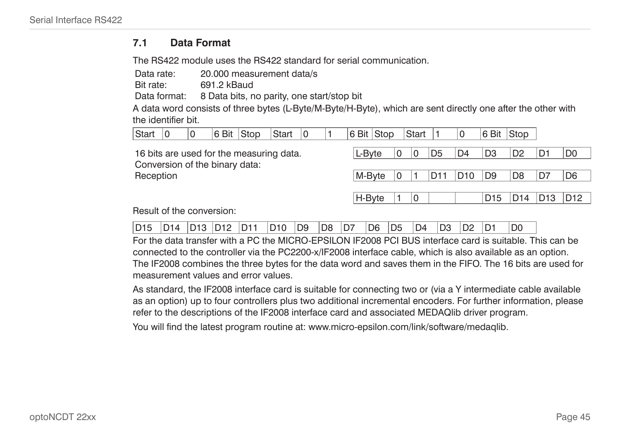#### **7.1 Data Format**

The RS422 module uses the RS422 standard for serial communication.

Data rate: 20.000 measurement data/s

Bit rate: 691.2 kBaud

Data format: 8 Data bits, no parity, one start/stop bit

A data word consists of three bytes (L-Byte/M-Byte/H-Byte), which are sent directly one after the other with the identifier bit.

| Start                          | 0 | 0 | 6 Bit Stop |                                          | Start | 10 | 6 Bit Stop |   | Start |                 |                 | 6 Bit Stop      |                 |                 |                 |
|--------------------------------|---|---|------------|------------------------------------------|-------|----|------------|---|-------|-----------------|-----------------|-----------------|-----------------|-----------------|-----------------|
| Conversion of the binary data: |   |   |            | 16 bits are used for the measuring data. |       |    | L-Byte     | 0 | 10    | D <sub>5</sub>  | D <sub>4</sub>  | D <sub>3</sub>  | D <sub>2</sub>  | D1              | D <sub>0</sub>  |
| Reception                      |   |   |            |                                          |       |    | M-Bvte     |   |       | D <sub>11</sub> | D <sub>10</sub> | D <sub>9</sub>  | D <sub>8</sub>  | D7              | D <sub>6</sub>  |
|                                |   |   |            |                                          |       |    | H-Byte     |   | ٥     |                 |                 | D <sub>15</sub> | D <sub>14</sub> | D <sub>13</sub> | D <sub>12</sub> |
| Result of the conversion:      |   |   |            |                                          |       |    |            |   |       |                 |                 |                 |                 |                 |                 |

For the data transfer with a PC the MICRO-EPSILON IF2008 PCI BUS interface card is suitable. This can be connected to the controller via the PC2200-x/IF2008 interface cable, which is also available as an option. The IF2008 combines the three bytes for the data word and saves them in the FIFO. The 16 bits are used for measurement values and error values.

As standard, the IF2008 interface card is suitable for connecting two or (via a Y intermediate cable available as an option) up to four controllers plus two additional incremental encoders. For further information, please refer to the descriptions of the IF2008 interface card and associated MEDAQlib driver program.

You will find the latest program routine at: www.micro-epsilon.com/link/software/medaqlib.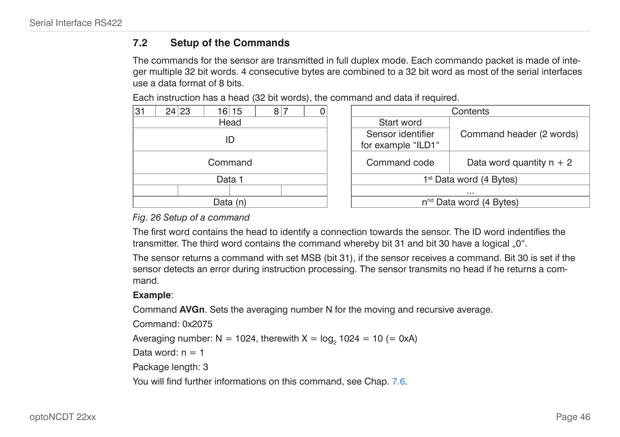#### **7.2 Setup of the Commands**

The commands for the sensor are transmitted in full duplex mode. Each commando packet is made of integer multiple 32 bit words. 4 consecutive bytes are combined to a 32 bit word as most of the serial interfaces use a data format of 8 bits.

Each instruction has a head (32 bit words), the command and data if required.

| 31      |  | 24 23 |  | 16 15    | 8 |  |              |                    | Contents                     |
|---------|--|-------|--|----------|---|--|--------------|--------------------|------------------------------|
|         |  |       |  | Head     |   |  |              | Start word         |                              |
|         |  |       |  | ID       |   |  |              | Sensor identifier  | Comm                         |
|         |  |       |  |          |   |  |              | for example "ILD1" |                              |
| Command |  |       |  |          |   |  | Command code | Data               |                              |
|         |  |       |  | Data 1   |   |  |              |                    | 1 <sup>st</sup> Data word (4 |
|         |  |       |  |          |   |  |              |                    | $\cdots$                     |
|         |  |       |  | Data (n) |   |  |              |                    | n <sup>nd</sup> Data word (4 |

| 16 15<br>8 7<br>0 | Contents                                |                            |  |  |  |  |
|-------------------|-----------------------------------------|----------------------------|--|--|--|--|
| Head              | Start word                              |                            |  |  |  |  |
| ID                | Sensor identifier<br>for example "ILD1" | Command header (2 words)   |  |  |  |  |
| Command           | Command code                            | Data word quantity $n + 2$ |  |  |  |  |
| Data 1            | 1 <sup>st</sup> Data word (4 Bytes)     |                            |  |  |  |  |
|                   | $\cdots$                                |                            |  |  |  |  |
| Data (n)          | n <sup>nd</sup> Data word (4 Bytes)     |                            |  |  |  |  |
|                   |                                         |                            |  |  |  |  |

#### *Fig. 26 Setup of a command*

The first word contains the head to identify a connection towards the sensor. The ID word indentifies the transmitter. The third word contains the command whereby bit 31 and bit 30 have a logical "0".

The sensor returns a command with set MSB (bit 31), if the sensor receives a command. Bit 30 is set if the sensor detects an error during instruction processing. The sensor transmits no head if he returns a command.

#### **Example**:

Command **AVGn**. Sets the averaging number N for the moving and recursive average.

Command: 0x2075 Averaging number: N = 1024, therewith X =  $log<sub>2</sub>$  1024 = 10 (= 0xA) Data word:  $n = 1$ Package length: 3 You will find further informations on this comman[d, see Chap. 7.6.](#page-50-0)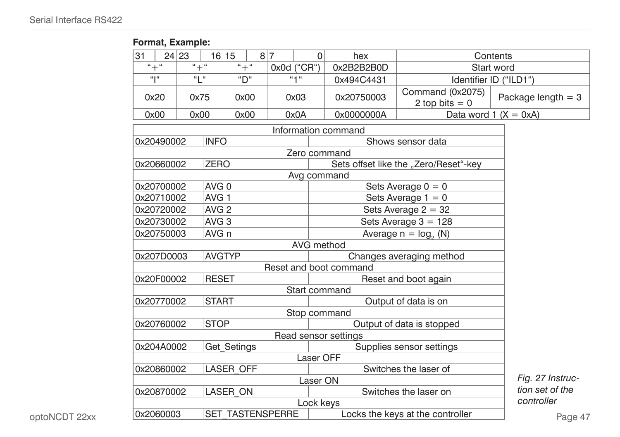## **Format, Example:**

| 31                                                                |                                                       | 24 23 |                     | 16 15            |  | 8 7 | $\Omega$    | hex                    | Contents                              |                         |  |  |  |  |  |
|-------------------------------------------------------------------|-------------------------------------------------------|-------|---------------------|------------------|--|-----|-------------|------------------------|---------------------------------------|-------------------------|--|--|--|--|--|
|                                                                   | $`` + "$                                              |       | $`` + "$            | $`` + "$         |  |     | 0x0d ("CR") | 0x2B2B2B0D             |                                       | Start word              |  |  |  |  |  |
|                                                                   | $\alpha$ la                                           |       | $\alpha$ l $\alpha$ | "D"              |  |     | ``1"        | 0x494C4431             |                                       | Identifier ID ("ILD1")  |  |  |  |  |  |
|                                                                   | 0x20                                                  |       | 0x75                | 0x00             |  |     | 0x03        | 0x20750003             | Command (0x2075)<br>2 top bits $= 0$  | Package length $=$ 3    |  |  |  |  |  |
|                                                                   | 0x00                                                  |       | 0x00                | 0x00             |  |     | 0x0A        | 0x0000000A             |                                       | Data word $1 (X = 0xA)$ |  |  |  |  |  |
|                                                                   |                                                       |       |                     |                  |  |     |             | Information command    |                                       |                         |  |  |  |  |  |
|                                                                   | 0x20490002                                            |       | <b>INFO</b>         |                  |  |     |             |                        | Shows sensor data                     |                         |  |  |  |  |  |
|                                                                   |                                                       |       |                     |                  |  |     |             | Zero command           |                                       |                         |  |  |  |  |  |
|                                                                   | 0x20660002                                            |       | <b>ZERO</b>         |                  |  |     |             |                        | Sets offset like the "Zero/Reset"-key |                         |  |  |  |  |  |
|                                                                   |                                                       |       |                     |                  |  |     | Avg command |                        |                                       |                         |  |  |  |  |  |
|                                                                   | 0x20700002                                            |       | AVG <sub>0</sub>    |                  |  |     |             |                        | Sets Average $0 = 0$                  |                         |  |  |  |  |  |
|                                                                   | 0x20710002                                            |       | AVG <sub>1</sub>    |                  |  |     |             |                        | Sets Average $1 = 0$                  |                         |  |  |  |  |  |
|                                                                   | 0x20720002                                            |       | AVG <sub>2</sub>    |                  |  |     |             |                        | Sets Average $2 = 32$                 |                         |  |  |  |  |  |
|                                                                   | 0x20730002                                            |       | AVG <sub>3</sub>    |                  |  |     |             |                        | Sets Average $3 = 128$                |                         |  |  |  |  |  |
|                                                                   | 0x20750003                                            |       | AVG <sub>n</sub>    |                  |  |     |             |                        | Average $n = log_a(N)$                |                         |  |  |  |  |  |
|                                                                   |                                                       |       |                     |                  |  |     | AVG method  |                        |                                       |                         |  |  |  |  |  |
|                                                                   | 0x207D0003                                            |       |                     | <b>AVGTYP</b>    |  |     |             |                        | Changes averaging method              |                         |  |  |  |  |  |
|                                                                   |                                                       |       |                     |                  |  |     |             | Reset and boot command |                                       |                         |  |  |  |  |  |
|                                                                   | 0x20F00002                                            |       | <b>RESET</b>        |                  |  |     |             |                        | Reset and boot again                  |                         |  |  |  |  |  |
|                                                                   |                                                       |       |                     |                  |  |     |             | Start command          |                                       |                         |  |  |  |  |  |
|                                                                   | 0x20770002                                            |       | <b>START</b>        |                  |  |     |             | Stop command           | Output of data is on                  |                         |  |  |  |  |  |
|                                                                   | 0x20760002                                            |       | <b>STOP</b>         |                  |  |     |             |                        | Output of data is stopped             |                         |  |  |  |  |  |
|                                                                   | Read sensor settings                                  |       |                     |                  |  |     |             |                        |                                       |                         |  |  |  |  |  |
|                                                                   | Get Setings<br>Supplies sensor settings<br>0x204A0002 |       |                     |                  |  |     |             |                        |                                       |                         |  |  |  |  |  |
|                                                                   |                                                       |       |                     |                  |  |     | Laser OFF   |                        |                                       |                         |  |  |  |  |  |
|                                                                   | 0x20860002                                            |       |                     | <b>LASER OFF</b> |  |     |             |                        | Switches the laser of                 |                         |  |  |  |  |  |
|                                                                   |                                                       |       |                     |                  |  |     | Laser ON    |                        |                                       | Fig. 27 Instruc-        |  |  |  |  |  |
|                                                                   | 0x20870002                                            |       |                     | LASER ON         |  |     |             |                        | Switches the laser on                 | tion set of the         |  |  |  |  |  |
|                                                                   |                                                       |       |                     |                  |  |     | Lock keys   |                        |                                       | controller              |  |  |  |  |  |
| SET TASTENSPERRE<br>0x2060003<br>Locks the keys at the controller |                                                       |       |                     |                  |  |     |             | Page 4                 |                                       |                         |  |  |  |  |  |

optoNCDT 22xx

Page 47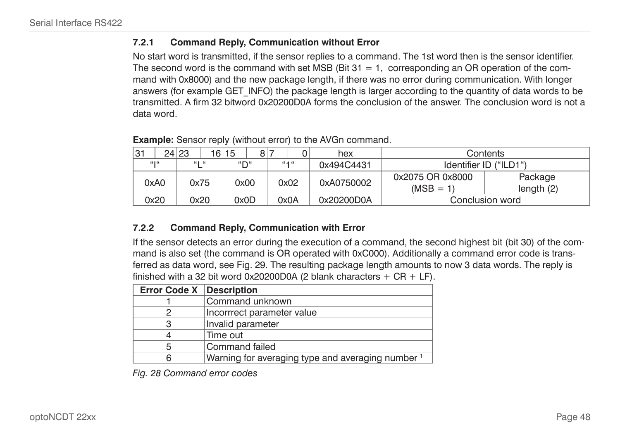#### **7.2.1 Command Reply, Communication without Error**

No start word is transmitted, if the sensor replies to a command. The 1st word then is the sensor identifier. The second word is the command with set MSB (Bit  $31 = 1$ , corresponding an OR operation of the command with 0x8000) and the new package length, if there was no error during communication. With longer answers (for example GET\_INFO) the package length is larger according to the quantity of data words to be transmitted. A firm 32 bitword 0x20200D0A forms the conclusion of the answer. The conclusion word is not a data word.

| <sup>31</sup> |       | 24 23 |       | 16 15 | 8 <sup>1</sup> |           | 0 | hex        | Contents                        |                       |  |  |  |  |
|---------------|-------|-------|-------|-------|----------------|-----------|---|------------|---------------------------------|-----------------------|--|--|--|--|
|               | 66166 |       | 66166 | "П"   |                | $66 - 46$ |   | 0x494C4431 | Identifier ID ("ILD1")          |                       |  |  |  |  |
|               | 0xA0  |       | 0x75  | 0x00  |                | 0x02      |   | 0xA0750002 | 0x2075 OR 0x8000<br>$(MSB = 1)$ | Package<br>length (2) |  |  |  |  |
|               | 0x20  |       | 0x20  | 0x0D  |                | 0x0A      |   | 0x20200D0A | Conclusion word                 |                       |  |  |  |  |

**Example:** Sensor reply (without error) to the AVGn command.

#### **7.2.2 Command Reply, Communication with Error**

If the sensor detects an error during the execution of a command, the second highest bit (bit 30) of the command is also set (the command is OR operated with 0xC000). Additionally a command error code is transferred as data word, see Fig. 29. The resulting package length amounts to now 3 data words. The reply is finished with a 32 bit word 0x20200D0A (2 blank characters  $+$  CR  $+$  LF).

| <b>Error Code X   Description</b> |                                                              |
|-----------------------------------|--------------------------------------------------------------|
|                                   | Command unknown                                              |
|                                   | Incorrrect parameter value                                   |
| З                                 | Invalid parameter                                            |
|                                   | Time out                                                     |
| 5                                 | Command failed                                               |
|                                   | Warning for averaging type and averaging number <sup>1</sup> |

*Fig. 28 Command error codes*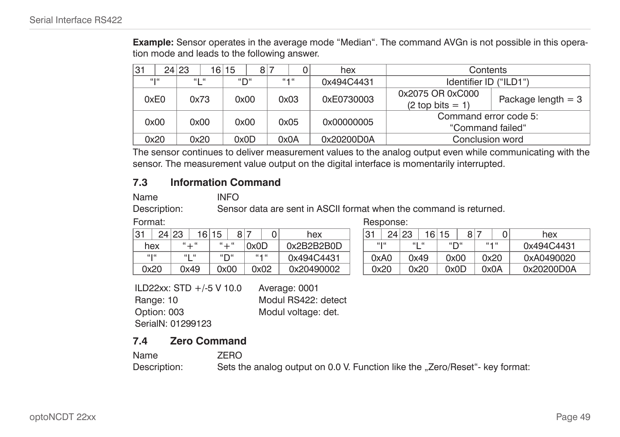**Example:** Sensor operates in the average mode "Median". The command AVGn is not possible in this operation mode and leads to the following answer.

| 31          | 24 23 | 16 15<br>8 | 0         | hex        | Contents                                  |                      |  |  |  |  |  |
|-------------|-------|------------|-----------|------------|-------------------------------------------|----------------------|--|--|--|--|--|
| $66$ ] $66$ | 616   | "D"        | $66 - 66$ | 0x494C4431 | Identifier ID ("ILD1")                    |                      |  |  |  |  |  |
| 0xE0        | 0x73  | 0x00       | 0x03      | 0xE0730003 | 0x2075 OR 0xC000<br>$(2 top bits = 1)$    | Package length $= 3$ |  |  |  |  |  |
| 0x00        | 0x00  | 0x00       | 0x05      | 0x00000005 | Command error code 5:<br>"Command failed" |                      |  |  |  |  |  |
| 0x20        | 0x20  | 0x0D       | 0x0A      | 0x20200D0A | Conclusion word                           |                      |  |  |  |  |  |

The sensor continues to deliver measurement values to the analog output even while communicating with the sensor. The measurement value output on the digital interface is momentarily interrupted.

#### **7.3 Information Command**

| ne |  |  |  |
|----|--|--|--|
|    |  |  |  |

Name INFO

Description: Sensor data are sent in ASCII format when the command is returned.

Format: **Response:** Response:

| 31    | 24 | 23 | 16        | 15           | 8    |      |           | hex        | 31    | 24 23 | 16   | 15                                  | Զ |           | hex     |
|-------|----|----|-----------|--------------|------|------|-----------|------------|-------|-------|------|-------------------------------------|---|-----------|---------|
| hex   |    |    | $66 + 66$ | $66 - 66$    |      | 0x0D |           | 0x2B2B2B0D | 66166 | 66 H  | - 66 | $\mathbf{u} \rightarrow \mathbf{u}$ |   | $66 - 46$ | 0x494C  |
| 66166 |    |    | 660.66    | $``\Gamma``$ |      |      | $66 - 46$ | 0x494C4431 | 0xA0  | 0x49  |      | 0x00                                |   | 0x20      | 0xA049  |
| 0x20  |    |    | 0x49      |              | 0x00 |      | 2x02      | 0x20490002 | 0x20  | 0x20  |      | 0x0D                                |   | 0x0A      | 0x20200 |

|       | 24 23 | 161       | 15              | $\circ$ |           | hex        | ⊣31   | 24 23 |        | 161  | 15                            | 8 |           | 0    | hex        |
|-------|-------|-----------|-----------------|---------|-----------|------------|-------|-------|--------|------|-------------------------------|---|-----------|------|------------|
| hex   |       | $66 + 66$ | $66 - 66$       |         | 0x0D      | 0x2B2B2B0D | 66166 |       | 661.66 |      | $\mathfrak{g}$ $\mathfrak{m}$ |   | $66 - 66$ |      | 0x494C4431 |
| 66166 |       | 661.66    | $``\mathsf{D}"$ |         | $66 - 66$ | 0x494C4431 | 0xA0  |       |        | 2x49 | 0x00                          |   | 2x20      |      | 0xA0490020 |
| 0x20  |       | 0x49      | 0x00            |         | 0x02      | 0x20490002 | 0x20  |       |        | 0x20 | 0x0D                          |   |           | OxOA | 0x20200D0A |

ILD22xx: STD +/-5 V 10.0 Average: 0001 Range: 10 Modul RS422: detect Option: 003 Modul voltage: det. SerialN: 01299123

## **7.4 Zero Command**

| Name         | ZERO                                                                         |
|--------------|------------------------------------------------------------------------------|
| Description: | Sets the analog output on 0.0 V. Function like the "Zero/Reset"- key format: |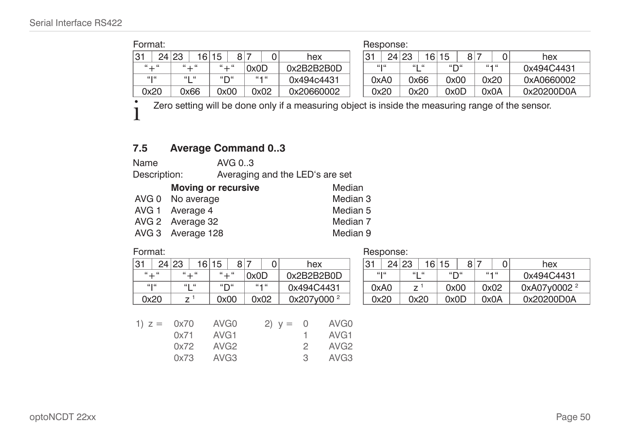| Format:                             |             |           |           |            | Response: |             |                              |           |            |
|-------------------------------------|-------------|-----------|-----------|------------|-----------|-------------|------------------------------|-----------|------------|
| 31                                  | 24 23<br>16 | 15<br>81  |           | hex        | 31        | 24 23<br>16 | 8<br>15                      |           | hex        |
| $\mathfrak{n}$ $\pm$ $\mathfrak{n}$ | $`` + "$    | $66 - 66$ | 0x0D      | 0x2B2B2B0D | 66166     | 66166       | $\mathbf{u} \sim \mathbf{u}$ | $66 - 46$ | 0x494C4431 |
| 66166                               | $66$ $66$   | "∩"       | $66 - 46$ | 0x494c4431 | 0xA0      | 0x66        | 0x00                         | 0x20      | 0xA0660002 |
| 0x20                                | 0x66        | 0x00      | 0x02      | 0x20660002 | 0x20      | 0x20        | 0x0D                         | 0x0A      | 0x20200D0A |

<sup>t</sup> Zero setting will be done only if a measuring object is inside the measuring range of the sensor.

## **7.5 Average Command 0..3**

Name AVG 0..3

Description: Averaging and the LED's are set

| <b>Moving or recursive</b> | Median   |
|----------------------------|----------|
| AVG 0 No average           | Median 3 |
| AVG 1 Average 4            | Median 5 |
| AVG 2 Average 32           | Median 7 |
| AVG 3 Average 128          | Median 9 |

Format: Response:

| 31             | 24 23<br>16 | 15<br>8          | 0                 |            | hex                    |                  | 31 |      | 24 23 |       | 16 15 |      | 8 7 | 0    | hex        |
|----------------|-------------|------------------|-------------------|------------|------------------------|------------------|----|------|-------|-------|-------|------|-----|------|------------|
| $``+``$        | $``+``$     | $``+``$          | 0x0D              |            | 0x2B2B2B0D             |                  |    | u ju |       | "L"   | "D"   |      |     | 64.6 | 0x494C4431 |
| $\mathfrak{c}$ | "L"         | "D"              | $\alpha + \alpha$ |            | 0x494C4431             |                  |    | 0xA0 |       | $Z^1$ |       | 0x00 |     | 0x02 | 0xA07y0002 |
| 0x20           | $Z^1$       | 0x00             | 0x02              |            | 0x207y000 <sup>2</sup> |                  |    | 0x20 |       | 0x20  |       | 0x0D |     | 0x0A | 0x20200D0A |
|                |             |                  |                   |            |                        |                  |    |      |       |       |       |      |     |      |            |
| 1) $z =$       | 0x70        | AVG <sub>0</sub> |                   | 2) $y = 0$ |                        | AVG <sub>0</sub> |    |      |       |       |       |      |     |      |            |
|                | 0x71        | AVG <sub>1</sub> |                   |            |                        | AVG <sub>1</sub> |    |      |       |       |       |      |     |      |            |
|                | 0x72        | AVG <sub>2</sub> |                   |            | 2                      | AVG <sub>2</sub> |    |      |       |       |       |      |     |      |            |
|                | 0x73        | AVG <sub>3</sub> |                   |            | 3                      | AVG <sub>3</sub> |    |      |       |       |       |      |     |      |            |

|          | 24 23         | 16 | 15                           | 8 |           | hex                    | $\Omega$<br>ັ | 24 <sub>1</sub> | . 23          | 16    | 15    | 8 |      | 0         | hex                     |
|----------|---------------|----|------------------------------|---|-----------|------------------------|---------------|-----------------|---------------|-------|-------|---|------|-----------|-------------------------|
| $`` + "$ | $66 - 66$     |    | $66 - 66$                    |   | 0x0D      | 0x2B2B2B0D             |               | 66166           |               | 66166 | 55.56 |   |      | $66 - 66$ | 0x494C4431              |
| 66166    | 661.66        |    | $\mathbf{H} \cap \mathbf{H}$ |   | $66 - 66$ | 0x494C4431             | 0xA0          |                 | $\rightarrow$ |       | 0x00  |   | 0x02 |           | 0xA07v0002 <sup>2</sup> |
| 0x20     | $\rightarrow$ |    | 0x00                         |   | 0x02      | 0x207v000 <sup>2</sup> | 0x20          |                 |               | 0x20  | 0x0D  |   |      | 0x0A      | 0x20200D0A              |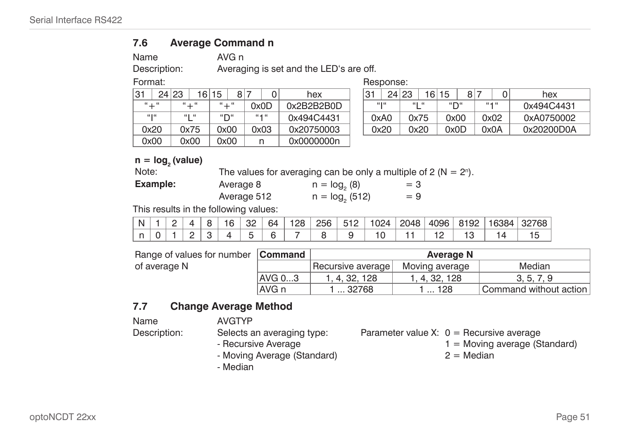#### **7.6 Average Command n**

<span id="page-50-0"></span>

|  | ł |  |
|--|---|--|
|  |   |  |

Name AVG n Description: Averaging is set and the LED's are off.

Format: **Response:** Response:

| 24 23<br>31                         | 16        | 15       | 8 7       | hex        | 31       | 24 23<br>16 | 15<br>R. | 0         | hex     |
|-------------------------------------|-----------|----------|-----------|------------|----------|-------------|----------|-----------|---------|
| $\mathfrak{n}$ $\pm$ $\mathfrak{n}$ | $66 + 66$ | $`` + "$ | 0x0D      | 0x2B2B2B0D | <b>"</b> | 661.66      | "שמ      | $66 - 66$ | 0x494C  |
| $66$ ] $66$                         | $66$ $66$ | "D"      | $64 - 66$ | 0x494C4431 | 0xA0     | 0x75        | 0x00     | 0x02      | 0xA075  |
| 0x20                                | 0x75      | 0x00     | 0x03      | 0x20750003 | 0x20     | 0x20        | 0x0D     | 0x0A      | 0x20200 |
| 0x00                                | 0x00      | 0x00     |           | 0x0000000n |          |             |          |           |         |

| 24 23     | 16                                   | 15<br>81  |           | hex        | $\mathbf{R}$<br>o | 24 23 |        | 16 | 15                           | 8 | 0         | hex        |
|-----------|--------------------------------------|-----------|-----------|------------|-------------------|-------|--------|----|------------------------------|---|-----------|------------|
| $66 - 66$ | $\mathfrak{u}$ $\top$ $\mathfrak{u}$ | $66 - 66$ | 0x0D      | 0x2B2B2B0D |                   | 66166 | 661.66 |    | $\mathbf{u} \sim \mathbf{u}$ |   | $66 - 46$ | 0x494C4431 |
| 66166     | 661.66                               | "D"       | $66 - 66$ | 0x494C4431 | 0xA0              |       | 0x75   |    | 0x00                         |   | 0x02      | 0xA0750002 |
| 0x20      | 0x75                                 | 0x00      | 0x03      | 0x20750003 | 0x20              |       | 0x20   |    | 0x0D                         |   | ገx0A      | 0x20200D0A |
|           |                                      |           |           |            |                   |       |        |    |                              |   |           |            |

# $n = log<sub>2</sub> (value)$ <br>Note:

Note: The values for averaging can be only a multiple of 2 ( $N = 2<sup>n</sup>$ ).

| <b>Example:</b> | Average 8   | $n = log2(8)$   | $=$ 3 |
|-----------------|-------------|-----------------|-------|
|                 | Average 512 | $n = log2(512)$ | $=9$  |

This results in the following values:

|  |  |  |  |  |  |  |  | N   1   2   4   8   16   32   64   128   256   512   1024   2048   4096   8192   16384   32768                                                                                   |
|--|--|--|--|--|--|--|--|----------------------------------------------------------------------------------------------------------------------------------------------------------------------------------|
|  |  |  |  |  |  |  |  | $\left  n \right  0 \left  1 \right  2 \left  3 \right  4 \left  5 \right  6 \left  7 \right  8 \left  9 \right  10 \left  11 \right  12 \left  13 \right  14 \left  15 \right $ |

| Range of values for number Command |        |                   | Average N      |            |
|------------------------------------|--------|-------------------|----------------|------------|
| of average N                       |        | Recursive average | Moving average | Median     |
|                                    | AVG 03 | 1, 4, 32, 128     | 1.4.32.128     | 3, 5, 7, 9 |
|                                    | AVG n  | 132768            | … 128          |            |

## **7.7 Change Average Method**

Name AVGTYP

Description: Selects an averaging type:

- Recursive Average

Parameter value X:  $0 =$  Recursive average

- $1 =$  Moving average (Standard)
	- $2 =$  Median

- Moving Average (Standard) - Median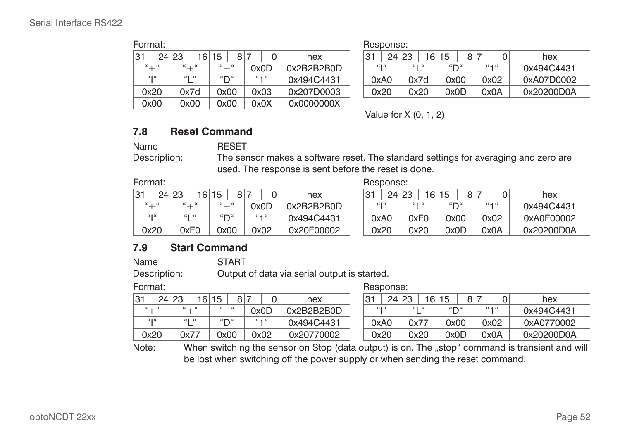| Format: |                                                         |       |      |      |  |            |            |             | Response: |       |     |    |           |         |        |        |
|---------|---------------------------------------------------------|-------|------|------|--|------------|------------|-------------|-----------|-------|-----|----|-----------|---------|--------|--------|
| 31      |                                                         | 24 23 | 161  | 15   |  | 8 7        |            | hex         | 31        | 24 23 | 16  | 15 | 8         |         |        | hex    |
|         | $`` + "$<br>$`` + "$<br>"+"<br>0x0D                     |       |      |      |  |            | 0x2B2B2B0D | $66$ ] $66$ | 66166     |       | "∩" |    | $66 - 66$ |         | 0x494C |        |
|         | $66$ ] $66$<br>$66 - 46$<br>661.66<br>"∩"<br>0x494C4431 |       |      |      |  |            |            |             | 0xA0      | 0x7d  |     |    | 0x00      |         | 0x02   | 0xA07D |
|         | 0x20<br>0x00<br>0x03<br>0x7d                            |       |      |      |  | 0x207D0003 | 0x20       | 0x20        |           | 0x0D  |     |    | 0x0A      | 0x20200 |        |        |
| 0x00    |                                                         |       | 0x00 | 0x00 |  |            | 0x0X       | 0x0000000X  |           |       |     |    |           |         |        |        |

|          | . |       |           |                 |      |           |            |       | .     |       |                               |   |           |            |
|----------|---|-------|-----------|-----------------|------|-----------|------------|-------|-------|-------|-------------------------------|---|-----------|------------|
|          |   | 24 23 | 6         | 15              | 8    | 0         | hex        | 31    | 24 23 | 16    | 15                            | 8 |           | hex        |
| $`` + "$ |   |       | $66 + 66$ | $66 + 66$       |      | 0x0D      | 0x2B2B2B0D | 66166 |       | 66166 | $\mathfrak{g}$ $\mathfrak{m}$ |   | $66 - 66$ | 0x494C4431 |
| 66166    |   |       | 66166     | $``\mathsf{D}"$ |      | $66 - 46$ | 0x494C4431 | 0xA0  |       | 0x7d  | 0x00                          |   | 0x02      | 0xA07D0002 |
| 0x20     |   |       | 0x7d      |                 | 0x00 | 0x03      | 0x207D0003 | 0x20  |       | 0x20  | 0x0D                          |   | 0x0A      | 0x20200D0A |
|          |   |       |           |                 |      |           |            |       |       |       |                               |   |           |            |

Value for X (0, 1, 2)

## **7.8 Reset Command**

Name RESET

Description: The sensor makes a software reset. The standard settings for averaging and zero are used. The response is sent before the reset is done.

Format: **Response:** Response:

| 31    | 24 | 23 | 16        | 15           | 8    |           | hex        | 31   | 241   | 23   | 16     | 15           | я |           | hex     |
|-------|----|----|-----------|--------------|------|-----------|------------|------|-------|------|--------|--------------|---|-----------|---------|
| " + " |    |    | $66 - 66$ | $66 - 66$    |      | 0x0D      | 0x2B2B2B0D |      | 66166 |      | 661.66 | $``\Gamma``$ |   | $66 - 66$ | 0x494C  |
| 66166 |    |    | 66166     | $``\Gamma``$ |      | $66 - 46$ | 0x494C4431 | 0xA0 |       | 0xF0 |        | 0x00         |   | 0x02      | 0xA0F0  |
| 0x20  |    |    | 0xF0      |              | 0x00 | 2x02      | 0x20F00002 | 0x20 |       | 0x20 |        | 0x0D         |   | 0x0A      | 0x20200 |

|                               | 24 23 | 16        | 15              | R∣ |           |      | hex        | 3.   | 24    | 23    | 16   | 15   | 8 <sub>1</sub> | 0         | hex        |
|-------------------------------|-------|-----------|-----------------|----|-----------|------|------------|------|-------|-------|------|------|----------------|-----------|------------|
| $\mathfrak{n}$ $\mathfrak{m}$ |       | $66 + 66$ | $`` + "$        |    | 0x0D      |      | 0x2B2B2B0D |      | 66166 | 66166 |      | "ש   |                | $66 - 66$ | 0x494C4431 |
| 66166                         |       | 661.66    | $``\mathsf{D}"$ |    | $66 - 66$ |      | 0x494C4431 | 0xA0 |       | 0xF0  |      | 0x00 |                | 0x02      | 0xA0F00002 |
| 0x20                          |       | 0xF0      | 0x00            |    |           | 2x02 | 0x20F00002 |      | 0x20  |       | 2x20 | 0x0D |                | 0x0A      | 0x20200D0A |

## **7.9 Start Command**

Name START

Description: Output of data via serial output is started.

Format: **Response:** Response:

| 31<br>24  | 23        | 15<br>16 <sup>1</sup> |                                  | 8 <sub>1</sub> |           | 0 | hex        | 31   | 24 23 |      | 16     | 15                            | $\circ$ |           | hex        |
|-----------|-----------|-----------------------|----------------------------------|----------------|-----------|---|------------|------|-------|------|--------|-------------------------------|---------|-----------|------------|
| $66 - 66$ | $66 - 66$ |                       | $66 - 66$                        |                | 0x0D      |   | 0x2B2B2B0D |      | 6606  |      | 661.66 | $\mathfrak{g}$ $\mathfrak{m}$ |         | $66 - 66$ | 0x494C4431 |
| 66166     | 66166     |                       | $\mathfrak{u} \cap \mathfrak{u}$ |                | $66 - 46$ |   | 0x494C4431 | 0xA0 |       | 0x77 |        | 0x00                          |         | 0x02      | 0xA0770002 |
| 0x20      | 0x7       |                       | 0x00                             |                | 0x02      |   | 0x20770002 |      | 0x20  |      | 0x20   | 0x0D                          |         | 0x0A      | 0x20200D0A |

Note: When switching the sensor on Stop (data output) is on. The "stop" command is transient and will be lost when switching off the power supply or when sending the reset command.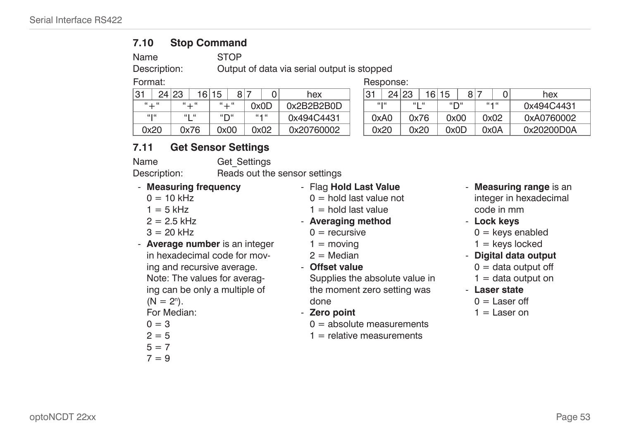#### **7.10 Stop Command**

Name STOP

Description: Output of data via serial output is stopped

Format: **Response:** Response:

| ⊣31       | 23<br>24 <sub>1</sub> | 16        | 15        | o | -         |      | hex        | -21<br>ບ | 24 | 23   | 16   | 15   | 8 |           | 0 | hex     |
|-----------|-----------------------|-----------|-----------|---|-----------|------|------------|----------|----|------|------|------|---|-----------|---|---------|
| $66 - 66$ |                       | $66 - 66$ | $66 - 66$ |   | 0x0D      |      | 0x2B2B2B0D | 66   66  |    | 66 H | - 66 | 5575 |   | $66 - 46$ |   | 0x494C  |
| 66166     |                       | 661.66    | 5575      |   | $66 - 66$ |      | 0x494C4431 | 0xA0     |    |      | 0x76 | 0x00 |   | 0x02      |   | 0xA076  |
| 0x20      |                       | 0x76      | 0x00      |   |           | 0x02 | 0x20760002 | 0x20     |    | 0x20 |      | 0x0D |   | 0x0A      |   | 0x20200 |

| 24        | 23<br>16                             | 15<br>81  |           | hex        | ⊣31  | 24    | 23     | 16 <sup>1</sup> | 15   | 8 | 0         | hex        |
|-----------|--------------------------------------|-----------|-----------|------------|------|-------|--------|-----------------|------|---|-----------|------------|
| $66 - 66$ | $\mathfrak{u}$ $\top$ $\mathfrak{u}$ | $66 + 66$ | 0x0D      | 0x2B2B2B0D |      | 66166 | 661.66 |                 | "∩"  |   | $66 - 46$ | 0x494C4431 |
| 66166     | 661.66                               | "D"       | $66 - 66$ | 0x494C4431 | 0xA0 |       | 0x76   |                 | 0x00 |   | 0x02      | 0xA0760002 |
| 0x20      | 0x76                                 | 0x00      | 0x02      | 0x20760002 | 0x20 |       |        | 0x20            | 0x0D |   | 0x0A      | 0x20200D0A |

## **7.11 Get Sensor Settings**

Name Get Settings

Description: Reads out the sensor settings

- **Measuring frequency**  $0 = 10$  kHz  $1 = 5$  kHz  $2 = 2.5$  kHz  $3 = 20$  kHz - **Average number** is an integer in hexadecimal code for moving and recursive average. Note: The values for averaging can be only a multiple of  $(N = 2^n)$ . For Median:  $0 = 3$  $2 = 5$  $5 = 7$  $7 = 9$ - Flag **Hold Last Value**  $0 =$  hold last value not  $1 =$  hold last value - **Averaging method**  $0 =$  recursive  $1 =$  moving  $2 =$ Median - **Offset value** Supplies the absolute value in the moment zero setting was done - **Zero point**  $0 =$  absolute measurements  $1$  = relative measurements - **Measuring range** is an integer in hexadecimal code in mm - **Lock keys**  $0 =$  keys enabled  $1 =$  keys locked - **Digital data output**  $0 =$  data output off  $1 =$  data output on - **Laser state**  $0 =$  Laser off  $1 =$  Laser on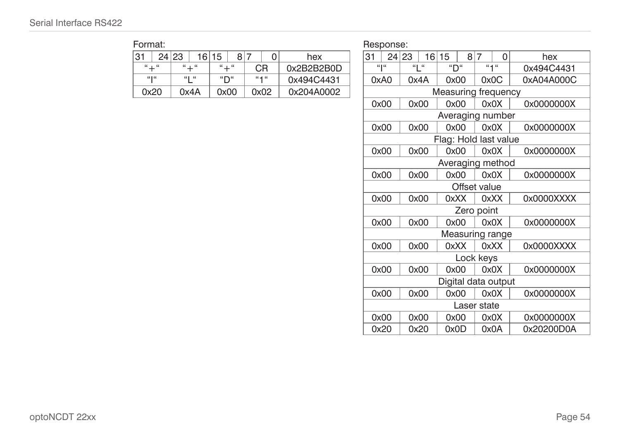Format: **Format:** Response:

| .     |       |       |           |                                     |                |           |            |       | . |                 |                 |                     |     |           |      |         |
|-------|-------|-------|-----------|-------------------------------------|----------------|-----------|------------|-------|---|-----------------|-----------------|---------------------|-----|-----------|------|---------|
| 31    |       | 24 23 | 16        | 15                                  | 8 <sup>1</sup> |           | hex        | ≀31   |   | 24 23           | 16 <sup>1</sup> | 15                  | 8 7 |           |      | hex     |
| " + " |       |       | $66 + 66$ | $66 - 66$                           |                | CR        | 0x2B2B2B0D | 66166 |   | $66$ $\pm$ $66$ |                 | $``\Gamma``$        |     | $66 - 46$ |      | 0x494C  |
|       | 66166 |       | 660.66    | $\mathbf{u} \rightarrow \mathbf{u}$ |                | $66 - 46$ | 0x494C4431 | 0xA0  |   | 0x4A            |                 | 0x00                |     |           | 0x0C | 0xA04A0 |
| 0x20  |       |       | 0x4A      |                                     | 0x00           | 0x02      | 0x204A0002 |       |   |                 |                 | Measuring frequency |     |           |      |         |

|                               |    |          |          |     |              |            |             |    | i ivoponioc.        |       |                 |                       |              |     |                 |            |
|-------------------------------|----|----------|----------|-----|--------------|------------|-------------|----|---------------------|-------|-----------------|-----------------------|--------------|-----|-----------------|------------|
| 24                            | 23 |          | 16 15    | 8 7 | $\mathbf{0}$ | hex        |             | 31 |                     | 24 23 | 16 <sup>1</sup> | 15                    |              | 8 7 | $\Omega$        | hex        |
| $``+``$                       |    | $`` + "$ | $`` + "$ |     | CR.          | 0x2B2B2B0D |             |    | $\alpha$ l $\alpha$ |       | " "             | "П"                   |              |     | $u + u$         | 0x494C4431 |
| $\mathfrak{u}$ $\mathfrak{l}$ |    | "["      | "D"      |     | ``1"         | 0x494C4431 |             |    | 0xA0                |       | 0x4A            | 0x00                  |              |     | 0x0C            | 0xA04A000C |
| 0x20                          |    | 0x4A     | 0x00     |     | 0x02         | 0x204A0002 |             |    |                     |       |                 | Measuring frequency   |              |     |                 |            |
|                               |    |          |          |     |              |            |             |    | 0x00                |       | 0x00            | 0x00                  |              |     | 0x0X            | 0x0000000X |
|                               |    |          |          |     |              |            |             |    |                     |       |                 | Averaging number      |              |     |                 |            |
|                               |    |          |          |     |              |            |             |    | 0x00                |       | 0x00            | 0x00                  |              |     | 0x0X            | 0x0000000X |
|                               |    |          |          |     |              |            |             |    |                     |       |                 | Flag: Hold last value |              |     |                 |            |
|                               |    |          |          |     |              |            |             |    | 0x00                |       | 0x00            | 0x00                  |              |     | 0x0X            | 0x0000000X |
|                               |    |          |          |     |              |            |             |    |                     |       |                 | Averaging method      |              |     |                 |            |
|                               |    |          |          |     |              |            |             |    | 0x00                |       | 0x00            | 0x00                  |              |     | 0x0X            | 0x0000000X |
|                               |    |          |          |     |              |            |             |    |                     |       |                 |                       | Offset value |     |                 |            |
|                               |    |          |          |     |              |            |             |    | 0x00                |       | 0x00            | 0xXX                  |              |     | 0xXX            | 0x0000XXXX |
|                               |    |          |          |     |              |            |             |    |                     |       |                 |                       | Zero point   |     |                 |            |
|                               |    |          |          |     |              |            |             |    | 0x00                |       | 0x00            | 0x00                  |              |     | 0x0X            | 0x0000000X |
|                               |    |          |          |     |              |            |             |    |                     |       |                 |                       |              |     | Measuring range |            |
|                               |    |          |          |     |              |            |             |    | 0x00                |       | 0x00            | OxXX                  |              |     | 0xXX            | 0x0000XXXX |
|                               |    |          |          |     |              |            |             |    |                     |       |                 |                       | Lock keys    |     |                 |            |
|                               |    |          |          |     |              |            |             |    | 0x00                |       | 0x00            | 0x00                  |              |     | 0x0X            | 0x0000000X |
|                               |    |          |          |     |              |            |             |    |                     |       |                 | Digital data output   |              |     |                 |            |
|                               |    |          |          |     |              |            |             |    | 0x00                |       | 0x00            | 0x00                  |              |     | 0x0X            | 0x0000000X |
|                               |    |          |          |     |              |            | Laser state |    |                     |       |                 |                       |              |     |                 |            |
|                               |    |          |          |     |              |            |             |    | 0x00                |       | 0x00            | 0x00                  |              |     | 0x0X            | 0x0000000X |
|                               |    |          |          |     |              |            |             |    | 0x20                |       | 0x20            | 0x0D                  |              |     | 0x0A            | 0x20200D0A |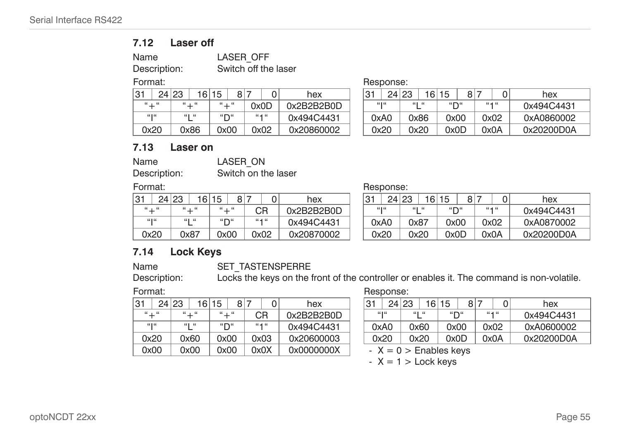#### **7.12 Laser off**

| Name         |
|--------------|
| Dogariation: |

LASER OFF Description: Switch off the laser

| 31       | 24 | 23 | 16        | 15              | 8I   |      |           | hex        | 31    | 24 <sub>1</sub> | 23   | 16    | 15                           | 8 | 0         | hex     |
|----------|----|----|-----------|-----------------|------|------|-----------|------------|-------|-----------------|------|-------|------------------------------|---|-----------|---------|
| $`` + "$ |    |    | $66 - 66$ | $66 + 66$       |      | 0x0D |           | 0x2B2B2B0D | 66166 |                 |      | 66166 | $\mathbf{u} \sim \mathbf{u}$ |   | $66 - 66$ | 0x494C  |
| 66166    |    |    | 661.66    | $``\mathsf{D}"$ |      |      | $66 - 46$ | 0x494C4431 | 0xA0  |                 |      | 0x86  | 0x00                         |   | 0x02      | 0xA086  |
| 0x20     |    |    | 0x86      |                 | 2x00 |      | 0x02      | 0x20860002 | 0x20  |                 | 0x20 |       | 0x0D                         |   | 0x0A      | 0x20200 |

Format: **Response:** Response:

|           | 24 | ·l 23 | 6         | 15         | 8    |           | hex        | ⊣31  | 241   | 23   | 16          | 15   | 8 |           | hex        |
|-----------|----|-------|-----------|------------|------|-----------|------------|------|-------|------|-------------|------|---|-----------|------------|
| $66 + 66$ |    |       | $66 - 66$ | $66 - 66$  |      | 0x0D      | 0x2B2B2B0D |      | 66166 |      | 661.66<br>− | 5575 |   | $66 - 66$ | 0x494C4431 |
| 66166     |    |       | 66166     | $H \cap H$ |      | $66 - 66$ | 0x494C4431 |      | 0xA0  |      | 0x86        | 0x00 |   | 0x02      | 0xA0860002 |
| 0x20      |    |       | 0x86      |            | 0x00 | 0x02      | 0x20860002 | 0x20 |       | 0x20 |             | 0x0D |   | 0x0A      | 0x20200D0A |

#### **7.13 Laser on**

| Name         | LASER ON     |
|--------------|--------------|
| Description: | Switch on th |

Switch on the laser

| -21<br>. ت | 24 | 23 | 16        | 15        | 8 7 |           | hex        | $\sim$<br>ٿ | 24 <sub>1</sub> | 23    | 16 | 15   | R |           |      | hex     |
|------------|----|----|-----------|-----------|-----|-----------|------------|-------------|-----------------|-------|----|------|---|-----------|------|---------|
| $66 + 66$  |    |    | $66 - 66$ | $66 + 66$ |     | CR        | 0x2B2B2B0D |             | 66166           | 66166 |    | 5575 |   | $66 - 46$ |      | 0x494C  |
| 66166      |    |    | 66166     | "D"       |     | $66 - 66$ | 0x494C4431 | 0xA0        |                 | 0x87  |    | 0x00 |   |           | 0x02 | 0xA087  |
| 0x20       |    |    | 0x87      | 0x00      |     | 0x02      | 0x20870002 | 0x20        |                 | 0x20  |    | 0x0D |   |           | 0x0A | 0x20200 |

Format: **Response:** Response:

|           | 24 23<br>6 | 15<br>8         |           | hex        | 31 |       | $24$ . | 23   | 16          | 15   | 8 |      |           | hex        |
|-----------|------------|-----------------|-----------|------------|----|-------|--------|------|-------------|------|---|------|-----------|------------|
| $55 - 55$ | $66 - 66$  | $66 - 66$       | СR        | 0x2B2B2B0D |    | 66166 |        |      | 661.66<br>- | 5575 |   |      | $66 - 66$ | 0x494C4431 |
| 66166     | 661.66     | $``\mathsf{D}"$ | $66 - 66$ | 0x494C4431 |    | 0xA0  |        |      | 0x87        | 0x00 |   | 0x02 |           | 0xA0870002 |
| 0x20      | 0x87       | 0x00            | 0x02      | 0x20870002 |    | 0x20  |        | 0x20 |             | 0x0D |   | 0x0A |           | 0x20200D0A |

## **7.14 Lock Keys**

Name SET\_TASTENSPERRE

Description: Locks the keys on the front of the controller or enables it. The command is non-volatile.

| 31                                  | 24 23<br>16                                                                                                          | 15       | 8 7       | hex        | 31   |          | 24 23 | 16    | 15                       | 8 | 0         | hex     |
|-------------------------------------|----------------------------------------------------------------------------------------------------------------------|----------|-----------|------------|------|----------|-------|-------|--------------------------|---|-----------|---------|
| $\mathfrak{n}$ $\pm$ $\mathfrak{n}$ | $\overline{\phantom{a}}^{\phantom{a}}$ $\overline{\phantom{a}}^{\phantom{a}}$ $\overline{\phantom{a}}^{\phantom{a}}$ | $`` + "$ | СR        | 0x2B2B2B0D |      | <b>"</b> |       | 66166 | $``\mathsf{D}"$          |   | $66 - 46$ | 0x494C  |
| $\frac{1}{2}$                       | $\mathfrak{u}_1$ $\mathfrak{u}_2$                                                                                    | "∩"      | $66 - 46$ | 0x494C4431 | 0xA0 |          |       | 0x60  | 0x00                     |   | 0x02      | 0xA060  |
| 0x20                                | 0x60                                                                                                                 | 0x00     | 0x03      | 0x20600003 |      | 0x20     |       | 0x20  | 0x0D                     |   | 0x0A      | 0x20200 |
| 0x00                                | 0x00                                                                                                                 | 0x00     | 0x0X      | 0x0000000X |      |          |       |       | $- X = 0$ > Enables keys |   |           |         |

Format: **Response:** Response:

| 24        | 23        | 6<br>15 | 81                           |           | hex        | .31 | 24 23 |      | 16    | 15    | 8 |           |      | hex        |
|-----------|-----------|---------|------------------------------|-----------|------------|-----|-------|------|-------|-------|---|-----------|------|------------|
| $55 - 55$ | $66$ $66$ |         | $66 - 66$                    | СR        | 0x2B2B2B0D |     | 66166 |      | 66166 | 55755 |   | $66 - 46$ |      | 0x494C4431 |
| 66166     | 66166     |         | $\mathbf{u} \sim \mathbf{u}$ | $66 - 46$ | 0x494C4431 |     | 0xA0  | 0x60 |       | 0x00  |   | 0x02      |      | 0xA0600002 |
| 0x20      | 0x60      |         | 0x00                         | 0x03      | 0x20600003 |     | 0x20  | 0x20 |       | 0x0D  |   |           | 0x0A | 0x20200D0A |

 $-X = 1$  > Lock keys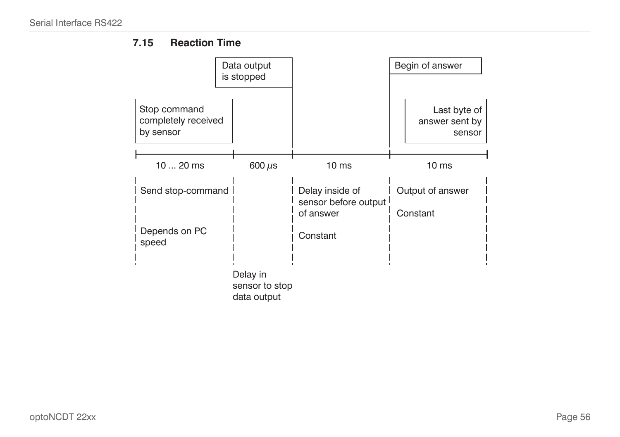## **7.15 Reaction Time**

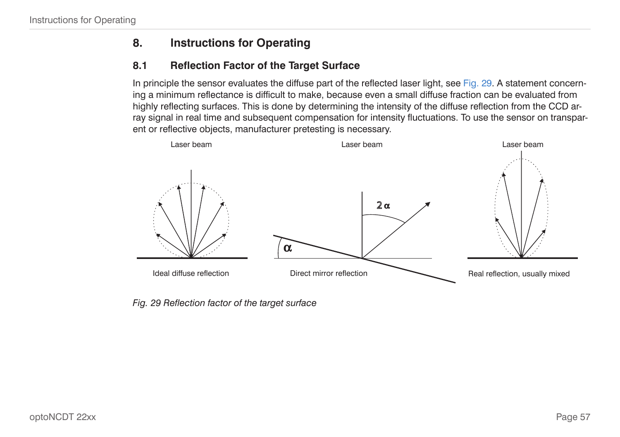## **8. Instructions for Operating**

## **8.1 Reflection Factor of the Target Surface**

In principle the sensor evaluates the diffuse part of the reflected laser ligh[t, see Fig. 29](#page-56-0). A statement concerning a minimum reflectance is difficult to make, because even a small diffuse fraction can be evaluated from highly reflecting surfaces. This is done by determining the intensity of the diffuse reflection from the CCD array signal in real time and subsequent compensation for intensity fluctuations. To use the sensor on transparent or reflective objects, manufacturer pretesting is necessary.



<span id="page-56-0"></span>*Fig. 29 Reflection factor of the target surface*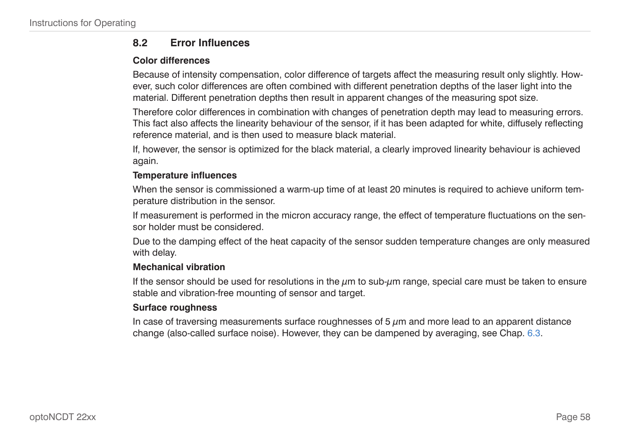#### **8.2 Error Influences**

#### **Color differences**

Because of intensity compensation, color difference of targets affect the measuring result only slightly. However, such color differences are often combined with different penetration depths of the laser light into the material. Different penetration depths then result in apparent changes of the measuring spot size.

Therefore color differences in combination with changes of penetration depth may lead to measuring errors. This fact also affects the linearity behaviour of the sensor, if it has been adapted for white, diffusely reflecting reference material, and is then used to measure black material.

If, however, the sensor is optimized for the black material, a clearly improved linearity behaviour is achieved again.

#### **Temperature influences**

When the sensor is commissioned a warm-up time of at least 20 minutes is required to achieve uniform temperature distribution in the sensor.

If measurement is performed in the micron accuracy range, the effect of temperature fluctuations on the sensor holder must be considered.

Due to the damping effect of the heat capacity of the sensor sudden temperature changes are only measured with delay.

#### **Mechanical vibration**

If the sensor should be used for resolutions in the  $\mu$ m to sub- $\mu$ m range, special care must be taken to ensure stable and vibration-free mounting of sensor and target.

#### **Surface roughness**

In case of traversing measurements surface roughnesses of 5  $\mu$ m and more lead to an apparent distance change (also-called surface noise). However, they can be dampened by averagin[g, see Chap. 6.3.](#page-29-0)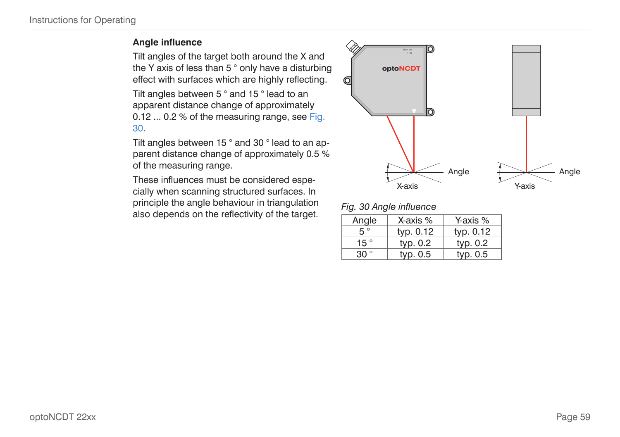#### **Angle influence**

Tilt angles of the target both around the X and the Y axis of less than 5 ° only have a disturbing effect with surfaces which are highly reflecting.

Tilt angles between 5 ° and 15 ° lead to an apparent distance change of approximately 0.12 ... 0.2 % of the measuring rang[e, see Fig.](#page-58-0)  [30](#page-58-0).

Tilt angles between 15 ° and 30 ° lead to an apparent distance change of approximately 0.5 % of the measuring range.

These influences must be considered especially when scanning structured surfaces. In principle the angle behaviour in triangulation also depends on the reflectivity of the target.



<span id="page-58-0"></span>

|  |  | Fig. 30 Angle influence |
|--|--|-------------------------|
|--|--|-------------------------|

| Angle        | X-axis %  | Y-axis %  |  |
|--------------|-----------|-----------|--|
| $5^{\circ}$  | typ. 0.12 | typ. 0.12 |  |
| 15 $\degree$ | typ. 0.2  | typ. 0.2  |  |
| 30°          | typ. 0.5  | typ. 0.5  |  |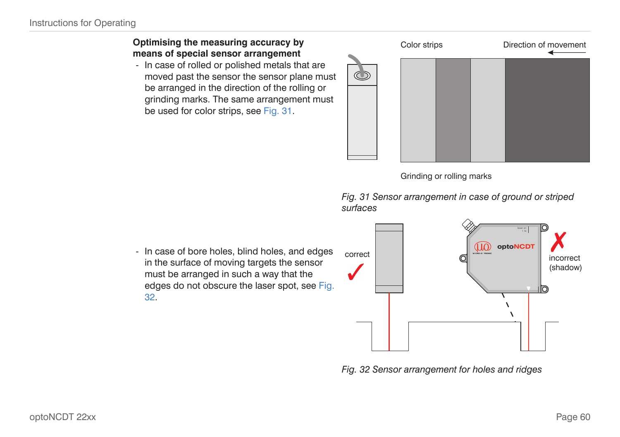#### **Optimising the measuring accuracy by means of special sensor arrangement**

- In case of rolled or polished metals that are moved past the sensor the sensor plane must be arranged in the direction of the rolling or grinding marks. The same arrangement must be used for color strip[s, see Fig. 31.](#page-59-0)

| Color strips | Direction of movement |  |  |
|--------------|-----------------------|--|--|
|              |                       |  |  |
|              |                       |  |  |
|              |                       |  |  |

<span id="page-59-0"></span>Grinding or rolling marks

*Fig. 31 Sensor arrangement in case of ground or striped surfaces*

- In case of bore holes, blind holes, and edges in the surface of moving targets the sensor must be arranged in such a way that the edges do not obscure the laser spo[t, see Fig.](#page-59-1)  [32.](#page-59-1)



<span id="page-59-1"></span>*Fig. 32 Sensor arrangement for holes and ridges*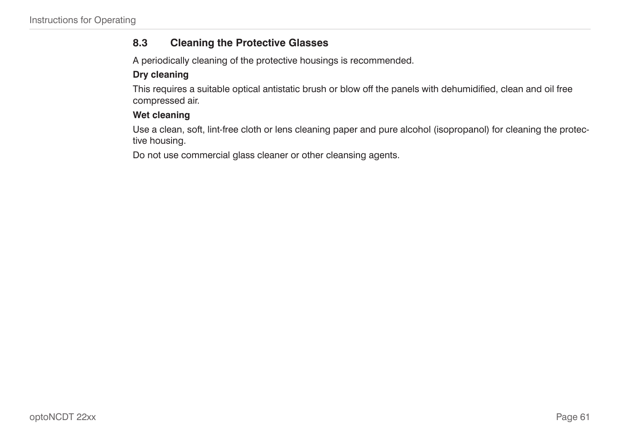## **8.3 Cleaning the Protective Glasses**

A periodically cleaning of the protective housings is recommended.

## **Dry cleaning**

This requires a suitable optical antistatic brush or blow off the panels with dehumidified, clean and oil free compressed air.

#### **Wet cleaning**

Use a clean, soft, lint-free cloth or lens cleaning paper and pure alcohol (isopropanol) for cleaning the protective housing.

Do not use commercial glass cleaner or other cleansing agents.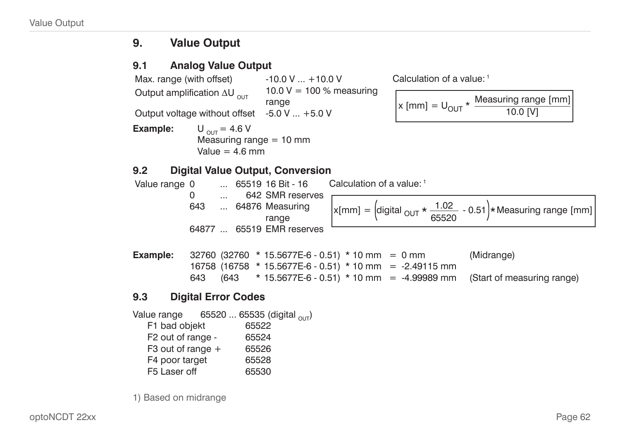## **9. Value Output**

## **9.1 Analog Value Output**

Max. range (with offset)  $-10.0 \text{ V} ... +10.0 \text{ V}$ Output amplification  $\Delta U_{\text{out}}$ 10.0  $V = 100 %$  measuring range Output voltage without offset  $-5.0$  V  $\dots$  +5.0 V

**Example:**  $U_{\text{OUT}} = 4.6 \text{ V}$ Measuring range  $= 10$  mm Value  $= 4.6$  mm

#### Calculation of a value: 1

$$
x \text{ [mm]} = U_{\text{OUT}} \star \frac{\text{Measuring range [mm]}}{10.0 \text{ [V]}}
$$

## **9.2 Digital Value Output, Conversion**

| Value range 0 |       |          | $\ldots$ 65519 16 Bit - 16 | Calculation of a value: 1                                                                                           |
|---------------|-------|----------|----------------------------|---------------------------------------------------------------------------------------------------------------------|
|               |       | $\cdots$ | 642 SMR reserves           |                                                                                                                     |
|               | 643   |          | 64876 Measuring<br>range   | $\vert x[mm] = \left[\text{digital }_{OUT} * \frac{1.02}{65520} - 0.51\right) * \text{Measuring range } [mm] \vert$ |
|               | 64877 |          | 65519 EMR reserves         |                                                                                                                     |
| Example:      |       |          |                            | $32760$ (32760 * 15.5677E-6 - 0.51) * 10 mm = 0 mm<br>(Midrange)                                                    |

**Example:** 32760 (32760 \* 15.5677E-6 - 0.51) \* 10 mm = 0 mm (Midrange) 16758 (16758 \* 15.5677E-6 - 0.51) \* 10 mm = -2.49115 mm 643 (643 \* 15.5677E-6 - 0.51) \* 10 mm = -4.99989 mm (Start of measuring range)

## **9.3 Digital Error Codes**

Value range 65520 ... 65535 (digital  $_{\text{OUT}}$ )<br>F1 bad obiekt 65522 F1 bad objekt F2 out of range - 65524 F3 out of range  $+$  65526 F4 poor target 65528 F5 Laser off 65530

1) Based on midrange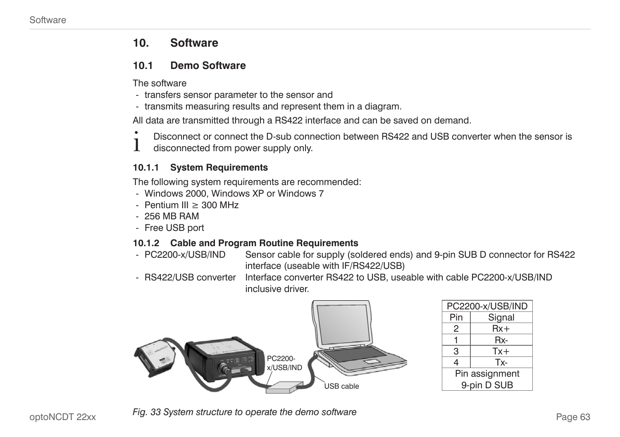## <span id="page-62-0"></span>**10. Software**

#### **10.1 Demo Software**

The software

- transfers sensor parameter to the sensor and
- transmits measuring results and represent them in a diagram.

All data are transmitted through a RS422 interface and can be saved on demand.

- Disconnect or connect the D-sub connection between RS422 and USB converter when the sensor is
- disconnected from power supply only.

#### **10.1.1 System Requirements**

The following system requirements are recommended:

- Windows 2000, Windows XP or Windows 7
- Pentium III ≥ 300 MHz
- 256 MB RAM
- Free USB port

#### **10.1.2 Cable and Program Routine Requirements**

- PC2200-x/USB/IND Sensor cable for supply (soldered ends) and 9-pin SUB D connector for RS422 interface (useable with IF/RS422/USB)
- RS422/USB converter Interface converter RS422 to USB, useable with cable PC2200-x/USB/IND inclusive driver.



| PC2200-x/USB/IND |  |  |
|------------------|--|--|
| Signal           |  |  |
| $Rx+$            |  |  |
| Rx-              |  |  |
| $Tx +$           |  |  |
| Tx-              |  |  |
| Pin assignment   |  |  |
| 9-pin D SUB      |  |  |
|                  |  |  |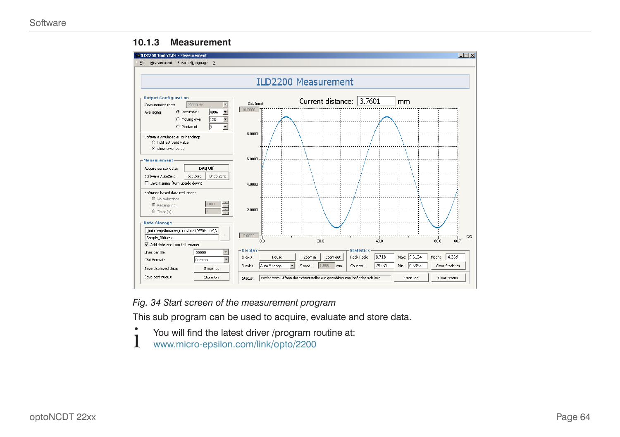#### **10.1.3 Measurement**



*Fig. 34 Start screen of the measurement program*

This sub program can be used to acquire, evaluate and store data.

- You will find the latest driver /program routine at:
- www.micro-epsilon.com/link/opto/2200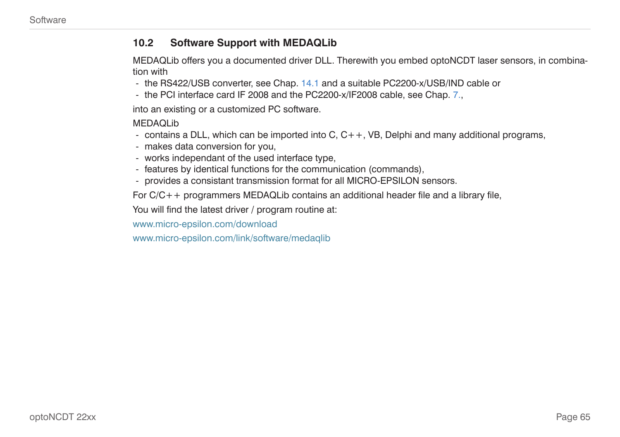#### **10.2 Software Support with MEDAQLib**

MEDAQLib offers you a documented driver DLL. Therewith you embed optoNCDT laser sensors, in combination with

- the RS422/USB converte[r, see Chap. 14.1](#page-66-0) and a suitable PC2200-x/USB/IND cable or
- the PCI interface card IF 2008 and the PC2200-x/IF2008 cable[, see Chap. 7.](#page-43-0),

into an existing or a customized PC software.

MEDAQLib

- contains a DLL, which can be imported into  $C, C++, VB$ , Delphi and many additional programs,
- makes data conversion for you,
- works independant of the used interface type,
- features by identical functions for the communication (commands),
- provides a consistant transmission format for all MICRO-EPSILON sensors.

For C/C++ programmers MEDAQLib contains an additional header file and a library file,

You will find the latest driver / program routine at:

www.micro-epsilon.com/download

www.micro-epsilon.com/link/software/medaqlib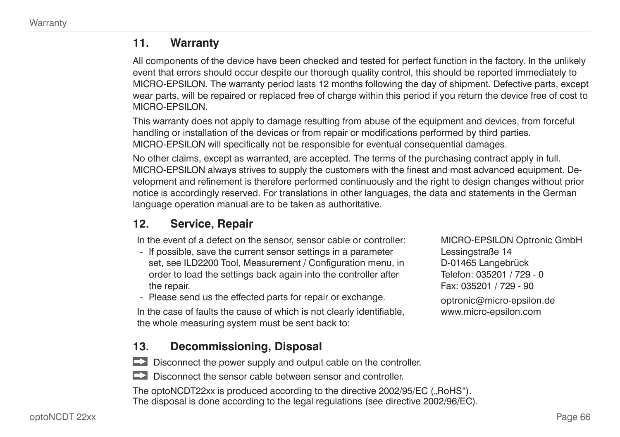## **11. Warranty**

All components of the device have been checked and tested for perfect function in the factory. In the unlikely event that errors should occur despite our thorough quality control, this should be reported immediately to MICRO-EPSILON. The warranty period lasts 12 months following the day of shipment. Defective parts, except wear parts, will be repaired or replaced free of charge within this period if you return the device free of cost to MICRO-EPSILON.

This warranty does not apply to damage resulting from abuse of the equipment and devices, from forceful handling or installation of the devices or from repair or modifications performed by third parties. MICRO-EPSILON will specifically not be responsible for eventual consequential damages.

No other claims, except as warranted, are accepted. The terms of the purchasing contract apply in full. MICRO-EPSILON always strives to supply the customers with the finest and most advanced equipment. Development and refinement is therefore performed continuously and the right to design changes without prior notice is accordingly reserved. For translations in other languages, the data and statements in the German language operation manual are to be taken as authoritative.

## **12. Service, Repair**

In the event of a defect on the sensor, sensor cable or controller:

- If possible, save the current sensor settings in a parameter set, see ILD2200 Tool, Measurement / Configuration menu, in order to load the settings back again into the controller after the repair.
- Please send us the effected parts for repair or exchange.

In the case of faults the cause of which is not clearly identifiable, the whole measuring system must be sent back to:

**13. Decommissioning, Disposal**

 $\Box$  Disconnect the power supply and output cable on the controller.

Disconnect the sensor cable between sensor and controller.

The optoNCDT22xx is produced according to the directive 2002/95/EC ("RoHS"). The disposal is done according to the legal regulations (see directive 2002/96/EC).

MICRO-EPSILON Optronic GmbH Lessingstraße 14 D-01465 Langebrück Telefon: 035201 / 729 - 0 Fax: 035201 / 729 - 90 optronic@micro-epsilon.de www.micro-epsilon.com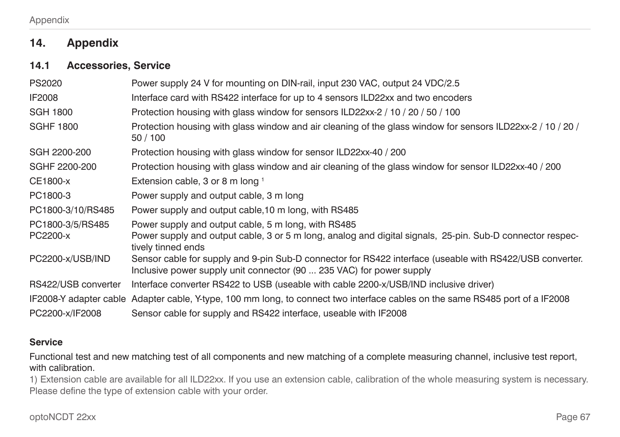## **14. Appendix**

#### <span id="page-66-0"></span>**14.1 Accessories, Service**

| Power supply 24 V for mounting on DIN-rail, input 230 VAC, output 24 VDC/2.5                                                                                                     |
|----------------------------------------------------------------------------------------------------------------------------------------------------------------------------------|
| Interface card with RS422 interface for up to 4 sensors ILD22xx and two encoders                                                                                                 |
| Protection housing with glass window for sensors ILD22xx-2 / 10 / 20 / 50 / 100                                                                                                  |
| Protection housing with glass window and air cleaning of the glass window for sensors ILD22xx-2 / 10 / 20 /<br>50 / 100                                                          |
| Protection housing with glass window for sensor ILD22xx-40 / 200                                                                                                                 |
| Protection housing with glass window and air cleaning of the glass window for sensor ILD22xx-40 / 200                                                                            |
| Extension cable, 3 or 8 m long 1                                                                                                                                                 |
| Power supply and output cable, 3 m long                                                                                                                                          |
| Power supply and output cable, 10 m long, with RS485                                                                                                                             |
| Power supply and output cable, 5 m long, with RS485                                                                                                                              |
| Power supply and output cable, 3 or 5 m long, analog and digital signals, 25-pin. Sub-D connector respec-<br>tively tinned ends                                                  |
| Sensor cable for supply and 9-pin Sub-D connector for RS422 interface (useable with RS422/USB converter.<br>Inclusive power supply unit connector (90  235 VAC) for power supply |
| Interface converter RS422 to USB (useable with cable 2200-x/USB/IND inclusive driver)                                                                                            |
| IF2008-Y adapter cable Adapter cable, Y-type, 100 mm long, to connect two interface cables on the same RS485 port of a IF2008                                                    |
| Sensor cable for supply and RS422 interface, useable with IF2008                                                                                                                 |
|                                                                                                                                                                                  |

#### **Service**

Functional test and new matching test of all components and new matching of a complete measuring channel, inclusive test report, with calibration.

1) Extension cable are available for all ILD22xx. If you use an extension cable, calibration of the whole measuring system is necessary. Please define the type of extension cable with your order.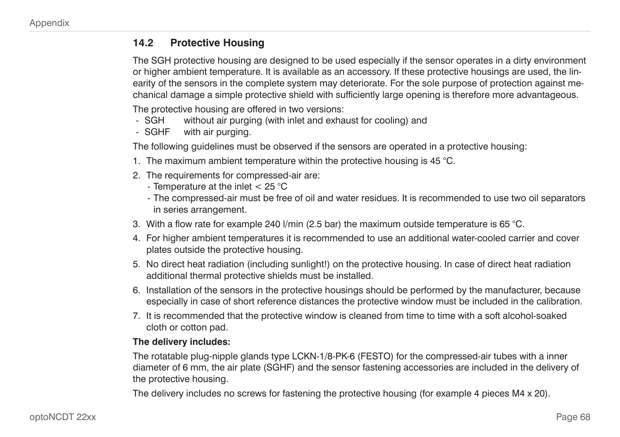#### **14.2 Protective Housing**

The SGH protective housing are designed to be used especially if the sensor operates in a dirty environment or higher ambient temperature. It is available as an accessory. If these protective housings are used, the linearity of the sensors in the complete system may deteriorate. For the sole purpose of protection against mechanical damage a simple protective shield with sufficiently large opening is therefore more advantageous.

The protective housing are offered in two versions:

- SGH without air purging (with inlet and exhaust for cooling) and
- SGHF with air purging.

The following guidelines must be observed if the sensors are operated in a protective housing:

- 1. The maximum ambient temperature within the protective housing is 45 °C.
- 2. The requirements for compressed-air are:
	- Temperature at the inlet < 25 °C
	- The compressed-air must be free of oil and water residues. It is recommended to use two oil separators in series arrangement.
- 3. With a flow rate for example 240 l/min (2.5 bar) the maximum outside temperature is 65 °C.
- 4. For higher ambient temperatures it is recommended to use an additional water-cooled carrier and cover plates outside the protective housing.
- 5. No direct heat radiation (including sunlight!) on the protective housing. In case of direct heat radiation additional thermal protective shields must be installed.
- 6. Installation of the sensors in the protective housings should be performed by the manufacturer, because especially in case of short reference distances the protective window must be included in the calibration.
- 7. It is recommended that the protective window is cleaned from time to time with a soft alcohol-soaked cloth or cotton pad.

#### **The delivery includes:**

The rotatable plug-nipple glands type LCKN-1/8-PK-6 (FESTO) for the compressed-air tubes with a inner diameter of 6 mm, the air plate (SGHF) and the sensor fastening accessories are included in the delivery of the protective housing.

The delivery includes no screws for fastening the protective housing (for example 4 pieces M4 x 20).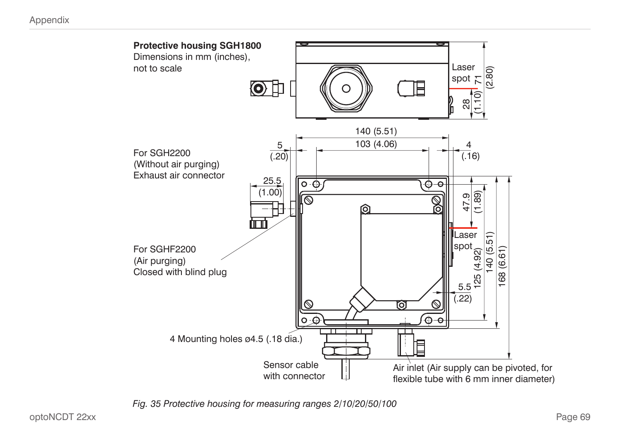

*Fig. 35 Protective housing for measuring ranges 2/10/20/50/100*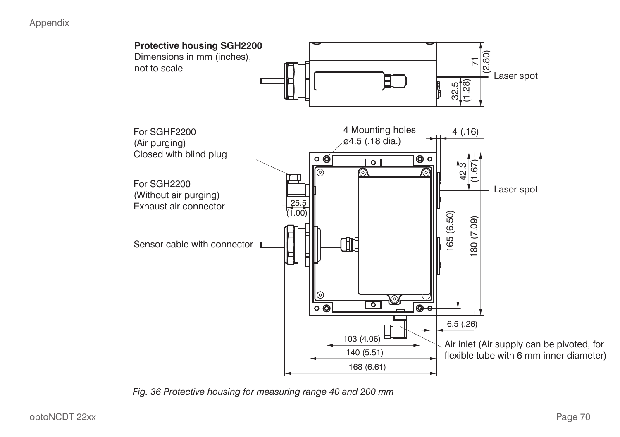

*Fig. 36 Protective housing for measuring range 40 and 200 mm*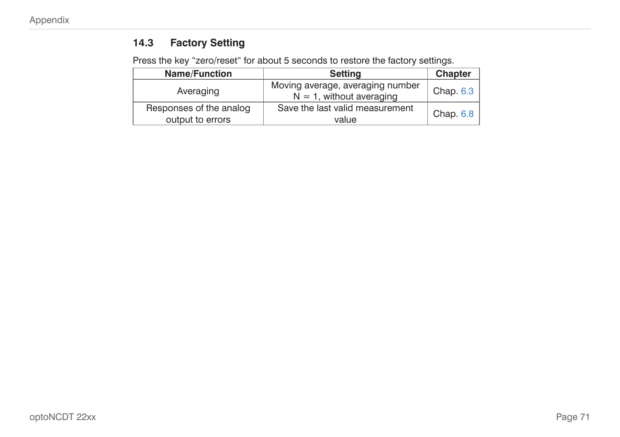## **14.3 Factory Setting**

Press the key "zero/reset" for about 5 seconds to restore the factory settings.

| <b>Name/Function</b>                        | <b>Setting</b>                                                  | <b>Chapter</b> |
|---------------------------------------------|-----------------------------------------------------------------|----------------|
| Averaging                                   | Moving average, averaging number<br>$N = 1$ , without averaging | Chap. 6.3      |
| Responses of the analog<br>output to errors | Save the last valid measurement<br>value                        | Chap. $6.8$    |